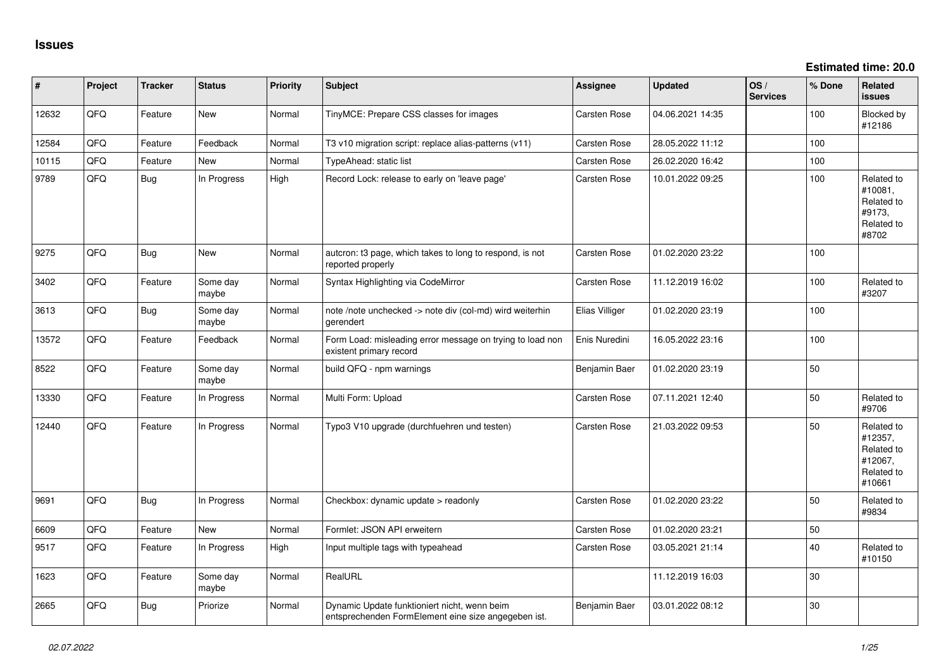**Estimated time: 20.0**

| #     | Project | <b>Tracker</b> | <b>Status</b>     | <b>Priority</b> | <b>Subject</b>                                                                                      | <b>Assignee</b>     | <b>Updated</b>   | OS/<br><b>Services</b> | % Done | Related<br><b>issues</b>                                               |
|-------|---------|----------------|-------------------|-----------------|-----------------------------------------------------------------------------------------------------|---------------------|------------------|------------------------|--------|------------------------------------------------------------------------|
| 12632 | QFQ     | Feature        | New               | Normal          | TinyMCE: Prepare CSS classes for images                                                             | Carsten Rose        | 04.06.2021 14:35 |                        | 100    | Blocked by<br>#12186                                                   |
| 12584 | QFQ     | Feature        | Feedback          | Normal          | T3 v10 migration script: replace alias-patterns (v11)                                               | Carsten Rose        | 28.05.2022 11:12 |                        | 100    |                                                                        |
| 10115 | QFQ     | Feature        | New               | Normal          | TypeAhead: static list                                                                              | <b>Carsten Rose</b> | 26.02.2020 16:42 |                        | 100    |                                                                        |
| 9789  | QFQ     | <b>Bug</b>     | In Progress       | High            | Record Lock: release to early on 'leave page'                                                       | <b>Carsten Rose</b> | 10.01.2022 09:25 |                        | 100    | Related to<br>#10081,<br>Related to<br>#9173,<br>Related to<br>#8702   |
| 9275  | QFQ     | Bug            | New               | Normal          | auteron: t3 page, which takes to long to respond, is not<br>reported properly                       | Carsten Rose        | 01.02.2020 23:22 |                        | 100    |                                                                        |
| 3402  | QFG     | Feature        | Some day<br>maybe | Normal          | Syntax Highlighting via CodeMirror                                                                  | Carsten Rose        | 11.12.2019 16:02 |                        | 100    | Related to<br>#3207                                                    |
| 3613  | QFQ     | <b>Bug</b>     | Some day<br>maybe | Normal          | note /note unchecked -> note div (col-md) wird weiterhin<br>gerendert                               | Elias Villiger      | 01.02.2020 23:19 |                        | 100    |                                                                        |
| 13572 | QFQ     | Feature        | Feedback          | Normal          | Form Load: misleading error message on trying to load non<br>existent primary record                | Enis Nuredini       | 16.05.2022 23:16 |                        | 100    |                                                                        |
| 8522  | QFQ     | Feature        | Some day<br>maybe | Normal          | build QFQ - npm warnings                                                                            | Benjamin Baer       | 01.02.2020 23:19 |                        | 50     |                                                                        |
| 13330 | QFQ     | Feature        | In Progress       | Normal          | Multi Form: Upload                                                                                  | Carsten Rose        | 07.11.2021 12:40 |                        | 50     | Related to<br>#9706                                                    |
| 12440 | QFQ     | Feature        | In Progress       | Normal          | Typo3 V10 upgrade (durchfuehren und testen)                                                         | <b>Carsten Rose</b> | 21.03.2022 09:53 |                        | 50     | Related to<br>#12357,<br>Related to<br>#12067,<br>Related to<br>#10661 |
| 9691  | QFQ     | <b>Bug</b>     | In Progress       | Normal          | Checkbox: dynamic update > readonly                                                                 | Carsten Rose        | 01.02.2020 23:22 |                        | 50     | Related to<br>#9834                                                    |
| 6609  | QFQ     | Feature        | New               | Normal          | Formlet: JSON API erweitern                                                                         | Carsten Rose        | 01.02.2020 23:21 |                        | 50     |                                                                        |
| 9517  | QFQ     | Feature        | In Progress       | High            | Input multiple tags with typeahead                                                                  | Carsten Rose        | 03.05.2021 21:14 |                        | 40     | Related to<br>#10150                                                   |
| 1623  | QFQ     | Feature        | Some day<br>maybe | Normal          | RealURL                                                                                             |                     | 11.12.2019 16:03 |                        | 30     |                                                                        |
| 2665  | QFQ     | <b>Bug</b>     | Priorize          | Normal          | Dynamic Update funktioniert nicht, wenn beim<br>entsprechenden FormElement eine size angegeben ist. | Benjamin Baer       | 03.01.2022 08:12 |                        | 30     |                                                                        |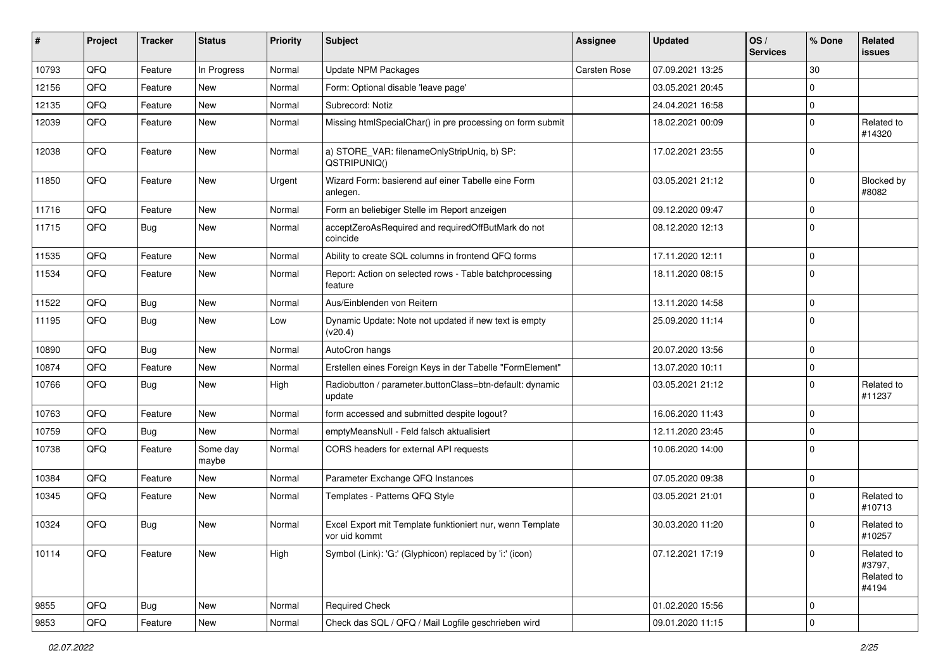| #     | Project | <b>Tracker</b> | <b>Status</b>     | <b>Priority</b> | Subject                                                                    | <b>Assignee</b> | <b>Updated</b>   | OS/<br><b>Services</b> | % Done      | Related<br>issues                           |
|-------|---------|----------------|-------------------|-----------------|----------------------------------------------------------------------------|-----------------|------------------|------------------------|-------------|---------------------------------------------|
| 10793 | QFQ     | Feature        | In Progress       | Normal          | <b>Update NPM Packages</b>                                                 | Carsten Rose    | 07.09.2021 13:25 |                        | 30          |                                             |
| 12156 | QFQ     | Feature        | New               | Normal          | Form: Optional disable 'leave page'                                        |                 | 03.05.2021 20:45 |                        | $\mathbf 0$ |                                             |
| 12135 | QFQ     | Feature        | <b>New</b>        | Normal          | Subrecord: Notiz                                                           |                 | 24.04.2021 16:58 |                        | $\mathbf 0$ |                                             |
| 12039 | QFQ     | Feature        | New               | Normal          | Missing htmlSpecialChar() in pre processing on form submit                 |                 | 18.02.2021 00:09 |                        | $\Omega$    | Related to<br>#14320                        |
| 12038 | QFQ     | Feature        | <b>New</b>        | Normal          | a) STORE_VAR: filenameOnlyStripUniq, b) SP:<br>QSTRIPUNIQ()                |                 | 17.02.2021 23:55 |                        | $\Omega$    |                                             |
| 11850 | QFQ     | Feature        | New               | Urgent          | Wizard Form: basierend auf einer Tabelle eine Form<br>anlegen.             |                 | 03.05.2021 21:12 |                        | $\Omega$    | Blocked by<br>#8082                         |
| 11716 | QFQ     | Feature        | <b>New</b>        | Normal          | Form an beliebiger Stelle im Report anzeigen                               |                 | 09.12.2020 09:47 |                        | $\mathbf 0$ |                                             |
| 11715 | QFQ     | Bug            | New               | Normal          | acceptZeroAsRequired and requiredOffButMark do not<br>coincide             |                 | 08.12.2020 12:13 |                        | $\Omega$    |                                             |
| 11535 | QFQ     | Feature        | New               | Normal          | Ability to create SQL columns in frontend QFQ forms                        |                 | 17.11.2020 12:11 |                        | $\mathbf 0$ |                                             |
| 11534 | QFQ     | Feature        | New               | Normal          | Report: Action on selected rows - Table batchprocessing<br>feature         |                 | 18.11.2020 08:15 |                        | l 0         |                                             |
| 11522 | QFQ     | Bug            | New               | Normal          | Aus/Einblenden von Reitern                                                 |                 | 13.11.2020 14:58 |                        | $\Omega$    |                                             |
| 11195 | QFQ     | Bug            | <b>New</b>        | Low             | Dynamic Update: Note not updated if new text is empty<br>(v20.4)           |                 | 25.09.2020 11:14 |                        | $\Omega$    |                                             |
| 10890 | QFQ     | Bug            | <b>New</b>        | Normal          | AutoCron hangs                                                             |                 | 20.07.2020 13:56 |                        | $\Omega$    |                                             |
| 10874 | QFQ     | Feature        | <b>New</b>        | Normal          | Erstellen eines Foreign Keys in der Tabelle "FormElement"                  |                 | 13.07.2020 10:11 |                        | $\mathbf 0$ |                                             |
| 10766 | QFQ     | Bug            | New               | High            | Radiobutton / parameter.buttonClass=btn-default: dynamic<br>update         |                 | 03.05.2021 21:12 |                        | $\Omega$    | Related to<br>#11237                        |
| 10763 | QFQ     | Feature        | <b>New</b>        | Normal          | form accessed and submitted despite logout?                                |                 | 16.06.2020 11:43 |                        | $\mathbf 0$ |                                             |
| 10759 | QFQ     | Bug            | New               | Normal          | emptyMeansNull - Feld falsch aktualisiert                                  |                 | 12.11.2020 23:45 |                        | $\Omega$    |                                             |
| 10738 | QFQ     | Feature        | Some day<br>maybe | Normal          | CORS headers for external API requests                                     |                 | 10.06.2020 14:00 |                        | $\mathbf 0$ |                                             |
| 10384 | QFQ     | Feature        | New               | Normal          | Parameter Exchange QFQ Instances                                           |                 | 07.05.2020 09:38 |                        | $\mathbf 0$ |                                             |
| 10345 | QFQ     | Feature        | New               | Normal          | Templates - Patterns QFQ Style                                             |                 | 03.05.2021 21:01 |                        | $\Omega$    | Related to<br>#10713                        |
| 10324 | QFQ     | Bug            | <b>New</b>        | Normal          | Excel Export mit Template funktioniert nur, wenn Template<br>vor uid kommt |                 | 30.03.2020 11:20 |                        | $\Omega$    | Related to<br>#10257                        |
| 10114 | QFQ     | Feature        | New               | High            | Symbol (Link): 'G:' (Glyphicon) replaced by 'i:' (icon)                    |                 | 07.12.2021 17:19 |                        | $\Omega$    | Related to<br>#3797,<br>Related to<br>#4194 |
| 9855  | QFQ     | <b>Bug</b>     | New               | Normal          | <b>Required Check</b>                                                      |                 | 01.02.2020 15:56 |                        | 0           |                                             |
| 9853  | QFQ     | Feature        | New               | Normal          | Check das SQL / QFQ / Mail Logfile geschrieben wird                        |                 | 09.01.2020 11:15 |                        | 0           |                                             |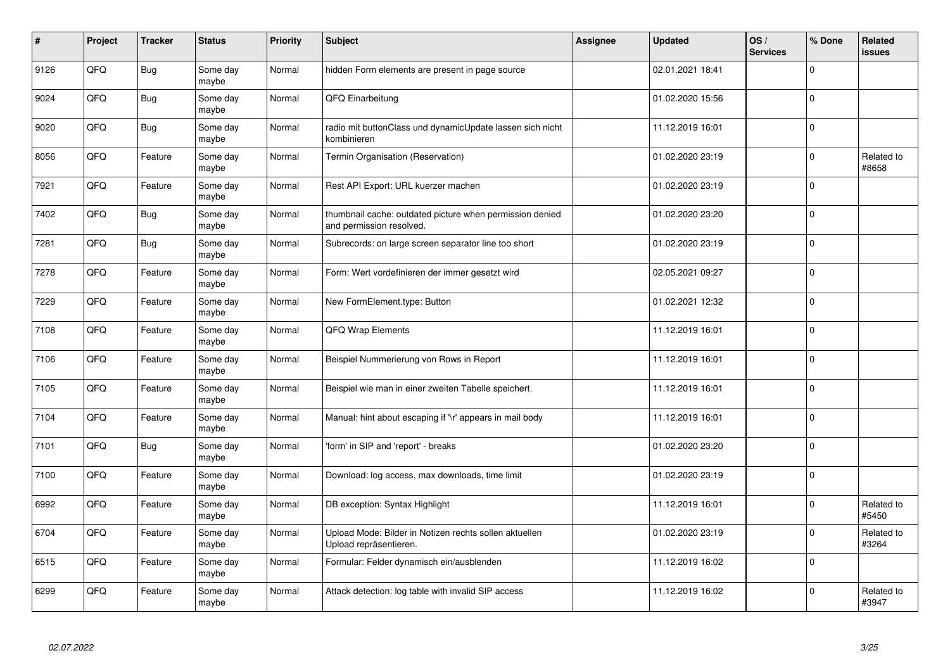| #    | Project | <b>Tracker</b> | <b>Status</b>     | <b>Priority</b> | <b>Subject</b>                                                                       | <b>Assignee</b> | <b>Updated</b>   | OS/<br><b>Services</b> | % Done       | Related<br>issues   |
|------|---------|----------------|-------------------|-----------------|--------------------------------------------------------------------------------------|-----------------|------------------|------------------------|--------------|---------------------|
| 9126 | QFQ     | Bug            | Some day<br>maybe | Normal          | hidden Form elements are present in page source                                      |                 | 02.01.2021 18:41 |                        | $\Omega$     |                     |
| 9024 | QFQ     | Bug            | Some day<br>maybe | Normal          | QFQ Einarbeitung                                                                     |                 | 01.02.2020 15:56 |                        | $\Omega$     |                     |
| 9020 | QFQ     | Bug            | Some day<br>maybe | Normal          | radio mit buttonClass und dynamicUpdate lassen sich nicht<br>kombinieren             |                 | 11.12.2019 16:01 |                        | $\Omega$     |                     |
| 8056 | QFQ     | Feature        | Some day<br>maybe | Normal          | Termin Organisation (Reservation)                                                    |                 | 01.02.2020 23:19 |                        | $\Omega$     | Related to<br>#8658 |
| 7921 | QFQ     | Feature        | Some day<br>maybe | Normal          | Rest API Export: URL kuerzer machen                                                  |                 | 01.02.2020 23:19 |                        | $\mathbf{0}$ |                     |
| 7402 | QFQ     | Bug            | Some day<br>maybe | Normal          | thumbnail cache: outdated picture when permission denied<br>and permission resolved. |                 | 01.02.2020 23:20 |                        | $\Omega$     |                     |
| 7281 | QFQ     | <b>Bug</b>     | Some day<br>maybe | Normal          | Subrecords: on large screen separator line too short                                 |                 | 01.02.2020 23:19 |                        | $\Omega$     |                     |
| 7278 | QFQ     | Feature        | Some day<br>maybe | Normal          | Form: Wert vordefinieren der immer gesetzt wird                                      |                 | 02.05.2021 09:27 |                        | $\Omega$     |                     |
| 7229 | QFQ     | Feature        | Some day<br>maybe | Normal          | New FormElement.type: Button                                                         |                 | 01.02.2021 12:32 |                        | $\Omega$     |                     |
| 7108 | QFQ     | Feature        | Some day<br>maybe | Normal          | <b>QFQ Wrap Elements</b>                                                             |                 | 11.12.2019 16:01 |                        | $\Omega$     |                     |
| 7106 | QFQ     | Feature        | Some day<br>maybe | Normal          | Beispiel Nummerierung von Rows in Report                                             |                 | 11.12.2019 16:01 |                        | $\Omega$     |                     |
| 7105 | QFQ     | Feature        | Some day<br>maybe | Normal          | Beispiel wie man in einer zweiten Tabelle speichert.                                 |                 | 11.12.2019 16:01 |                        | $\mathbf 0$  |                     |
| 7104 | QFQ     | Feature        | Some day<br>maybe | Normal          | Manual: hint about escaping if '\r' appears in mail body                             |                 | 11.12.2019 16:01 |                        | $\Omega$     |                     |
| 7101 | QFQ     | Bug            | Some day<br>maybe | Normal          | 'form' in SIP and 'report' - breaks                                                  |                 | 01.02.2020 23:20 |                        | $\mathbf 0$  |                     |
| 7100 | QFQ     | Feature        | Some day<br>maybe | Normal          | Download: log access, max downloads, time limit                                      |                 | 01.02.2020 23:19 |                        | $\Omega$     |                     |
| 6992 | QFQ     | Feature        | Some day<br>maybe | Normal          | DB exception: Syntax Highlight                                                       |                 | 11.12.2019 16:01 |                        | $\Omega$     | Related to<br>#5450 |
| 6704 | QFQ     | Feature        | Some day<br>maybe | Normal          | Upload Mode: Bilder in Notizen rechts sollen aktuellen<br>Upload repräsentieren.     |                 | 01.02.2020 23:19 |                        | $\Omega$     | Related to<br>#3264 |
| 6515 | QFQ     | Feature        | Some day<br>maybe | Normal          | Formular: Felder dynamisch ein/ausblenden                                            |                 | 11.12.2019 16:02 |                        | $\mathbf 0$  |                     |
| 6299 | QFQ     | Feature        | Some day<br>maybe | Normal          | Attack detection: log table with invalid SIP access                                  |                 | 11.12.2019 16:02 |                        | $\Omega$     | Related to<br>#3947 |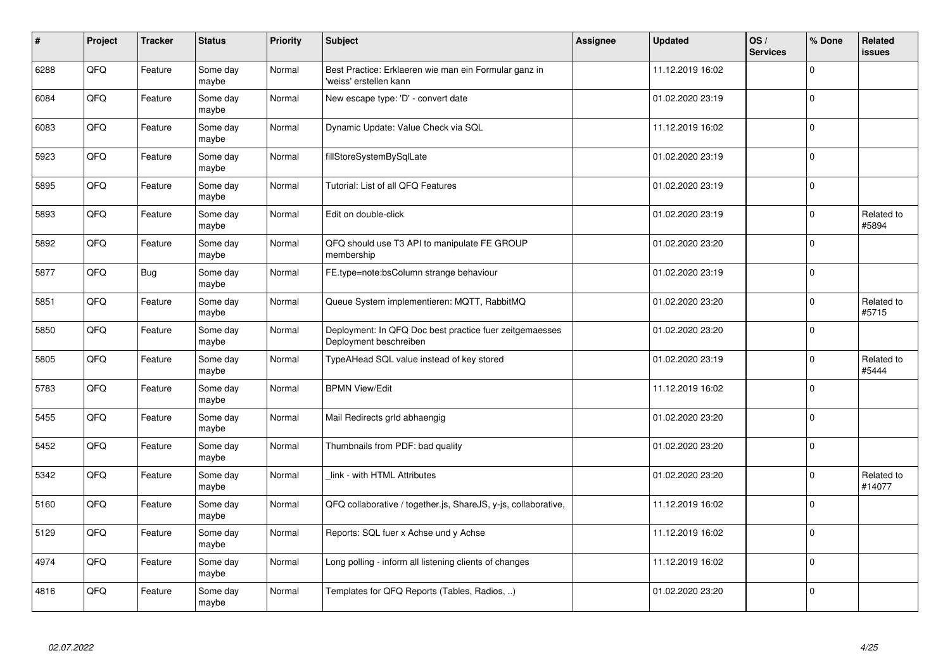| $\vert$ # | Project | <b>Tracker</b> | <b>Status</b>     | <b>Priority</b> | <b>Subject</b>                                                                    | Assignee | <b>Updated</b>   | OS/<br><b>Services</b> | % Done      | Related<br><b>issues</b> |
|-----------|---------|----------------|-------------------|-----------------|-----------------------------------------------------------------------------------|----------|------------------|------------------------|-------------|--------------------------|
| 6288      | QFQ     | Feature        | Some day<br>maybe | Normal          | Best Practice: Erklaeren wie man ein Formular ganz in<br>'weiss' erstellen kann   |          | 11.12.2019 16:02 |                        | $\Omega$    |                          |
| 6084      | QFQ     | Feature        | Some day<br>maybe | Normal          | New escape type: 'D' - convert date                                               |          | 01.02.2020 23:19 |                        | $\Omega$    |                          |
| 6083      | QFQ     | Feature        | Some day<br>maybe | Normal          | Dynamic Update: Value Check via SQL                                               |          | 11.12.2019 16:02 |                        | $\Omega$    |                          |
| 5923      | QFQ     | Feature        | Some day<br>maybe | Normal          | fillStoreSystemBySqlLate                                                          |          | 01.02.2020 23:19 |                        | $\Omega$    |                          |
| 5895      | QFQ     | Feature        | Some day<br>maybe | Normal          | Tutorial: List of all QFQ Features                                                |          | 01.02.2020 23:19 |                        | $\Omega$    |                          |
| 5893      | QFQ     | Feature        | Some day<br>maybe | Normal          | Edit on double-click                                                              |          | 01.02.2020 23:19 |                        | $\Omega$    | Related to<br>#5894      |
| 5892      | QFQ     | Feature        | Some day<br>maybe | Normal          | QFQ should use T3 API to manipulate FE GROUP<br>membership                        |          | 01.02.2020 23:20 |                        | 0           |                          |
| 5877      | QFQ     | <b>Bug</b>     | Some day<br>maybe | Normal          | FE.type=note:bsColumn strange behaviour                                           |          | 01.02.2020 23:19 |                        | $\Omega$    |                          |
| 5851      | QFQ     | Feature        | Some day<br>maybe | Normal          | Queue System implementieren: MQTT, RabbitMQ                                       |          | 01.02.2020 23:20 |                        | $\Omega$    | Related to<br>#5715      |
| 5850      | QFQ     | Feature        | Some day<br>maybe | Normal          | Deployment: In QFQ Doc best practice fuer zeitgemaesses<br>Deployment beschreiben |          | 01.02.2020 23:20 |                        | $\mathbf 0$ |                          |
| 5805      | QFQ     | Feature        | Some day<br>maybe | Normal          | TypeAHead SQL value instead of key stored                                         |          | 01.02.2020 23:19 |                        | $\Omega$    | Related to<br>#5444      |
| 5783      | QFQ     | Feature        | Some day<br>maybe | Normal          | <b>BPMN View/Edit</b>                                                             |          | 11.12.2019 16:02 |                        | $\Omega$    |                          |
| 5455      | QFQ     | Feature        | Some day<br>maybe | Normal          | Mail Redirects grld abhaengig                                                     |          | 01.02.2020 23:20 |                        | $\mathbf 0$ |                          |
| 5452      | QFQ     | Feature        | Some day<br>maybe | Normal          | Thumbnails from PDF: bad quality                                                  |          | 01.02.2020 23:20 |                        | 0           |                          |
| 5342      | QFQ     | Feature        | Some day<br>maybe | Normal          | link - with HTML Attributes                                                       |          | 01.02.2020 23:20 |                        | $\Omega$    | Related to<br>#14077     |
| 5160      | QFQ     | Feature        | Some day<br>maybe | Normal          | QFQ collaborative / together.js, ShareJS, y-js, collaborative,                    |          | 11.12.2019 16:02 |                        | $\Omega$    |                          |
| 5129      | QFQ     | Feature        | Some day<br>maybe | Normal          | Reports: SQL fuer x Achse und y Achse                                             |          | 11.12.2019 16:02 |                        | $\Omega$    |                          |
| 4974      | QFQ     | Feature        | Some day<br>maybe | Normal          | Long polling - inform all listening clients of changes                            |          | 11.12.2019 16:02 |                        | 0           |                          |
| 4816      | QFQ     | Feature        | Some day<br>maybe | Normal          | Templates for QFQ Reports (Tables, Radios, )                                      |          | 01.02.2020 23:20 |                        | $\Omega$    |                          |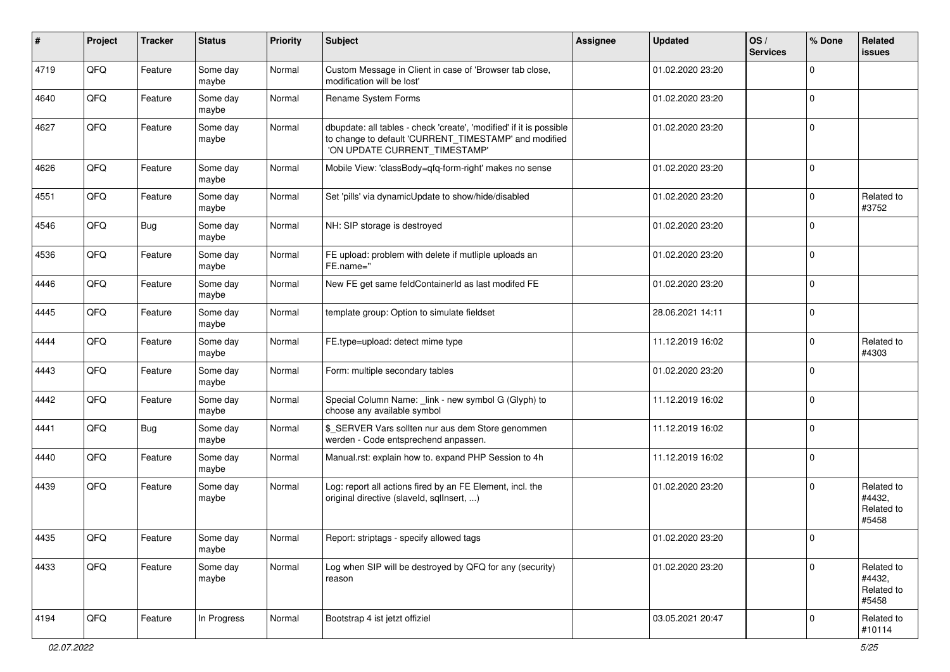| #    | Project | <b>Tracker</b> | <b>Status</b>     | <b>Priority</b> | <b>Subject</b>                                                                                                                                                | <b>Assignee</b> | <b>Updated</b>   | OS/<br><b>Services</b> | % Done      | Related<br>issues                           |
|------|---------|----------------|-------------------|-----------------|---------------------------------------------------------------------------------------------------------------------------------------------------------------|-----------------|------------------|------------------------|-------------|---------------------------------------------|
| 4719 | QFQ     | Feature        | Some day<br>maybe | Normal          | Custom Message in Client in case of 'Browser tab close,<br>modification will be lost'                                                                         |                 | 01.02.2020 23:20 |                        | $\Omega$    |                                             |
| 4640 | QFQ     | Feature        | Some day<br>maybe | Normal          | Rename System Forms                                                                                                                                           |                 | 01.02.2020 23:20 |                        | $\mathbf 0$ |                                             |
| 4627 | QFQ     | Feature        | Some day<br>maybe | Normal          | dbupdate: all tables - check 'create', 'modified' if it is possible<br>to change to default 'CURRENT_TIMESTAMP' and modified<br>'ON UPDATE CURRENT_TIMESTAMP' |                 | 01.02.2020 23:20 |                        | $\Omega$    |                                             |
| 4626 | QFQ     | Feature        | Some day<br>maybe | Normal          | Mobile View: 'classBody=qfq-form-right' makes no sense                                                                                                        |                 | 01.02.2020 23:20 |                        | $\mathbf 0$ |                                             |
| 4551 | QFQ     | Feature        | Some day<br>maybe | Normal          | Set 'pills' via dynamicUpdate to show/hide/disabled                                                                                                           |                 | 01.02.2020 23:20 |                        | $\mathbf 0$ | Related to<br>#3752                         |
| 4546 | QFQ     | Bug            | Some day<br>maybe | Normal          | NH: SIP storage is destroyed                                                                                                                                  |                 | 01.02.2020 23:20 |                        | $\Omega$    |                                             |
| 4536 | QFQ     | Feature        | Some day<br>maybe | Normal          | FE upload: problem with delete if mutliple uploads an<br>FE.name="                                                                                            |                 | 01.02.2020 23:20 |                        | $\Omega$    |                                             |
| 4446 | QFQ     | Feature        | Some day<br>maybe | Normal          | New FE get same feldContainerId as last modifed FE                                                                                                            |                 | 01.02.2020 23:20 |                        | $\mathbf 0$ |                                             |
| 4445 | QFQ     | Feature        | Some day<br>maybe | Normal          | template group: Option to simulate fieldset                                                                                                                   |                 | 28.06.2021 14:11 |                        | $\Omega$    |                                             |
| 4444 | QFQ     | Feature        | Some day<br>maybe | Normal          | FE.type=upload: detect mime type                                                                                                                              |                 | 11.12.2019 16:02 |                        | $\mathbf 0$ | Related to<br>#4303                         |
| 4443 | QFQ     | Feature        | Some day<br>maybe | Normal          | Form: multiple secondary tables                                                                                                                               |                 | 01.02.2020 23:20 |                        | $\Omega$    |                                             |
| 4442 | QFQ     | Feature        | Some day<br>maybe | Normal          | Special Column Name: _link - new symbol G (Glyph) to<br>choose any available symbol                                                                           |                 | 11.12.2019 16:02 |                        | $\mathbf 0$ |                                             |
| 4441 | QFQ     | <b>Bug</b>     | Some day<br>maybe | Normal          | \$_SERVER Vars sollten nur aus dem Store genommen<br>werden - Code entsprechend anpassen.                                                                     |                 | 11.12.2019 16:02 |                        | $\mathbf 0$ |                                             |
| 4440 | QFQ     | Feature        | Some day<br>maybe | Normal          | Manual.rst: explain how to. expand PHP Session to 4h                                                                                                          |                 | 11.12.2019 16:02 |                        | $\mathbf 0$ |                                             |
| 4439 | QFQ     | Feature        | Some day<br>maybe | Normal          | Log: report all actions fired by an FE Element, incl. the<br>original directive (slaveld, sqllnsert, )                                                        |                 | 01.02.2020 23:20 |                        | $\mathbf 0$ | Related to<br>#4432,<br>Related to<br>#5458 |
| 4435 | QFQ     | Feature        | Some day<br>maybe | Normal          | Report: striptags - specify allowed tags                                                                                                                      |                 | 01.02.2020 23:20 |                        | U           |                                             |
| 4433 | QFQ     | Feature        | Some day<br>maybe | Normal          | Log when SIP will be destroyed by QFQ for any (security)<br>reason                                                                                            |                 | 01.02.2020 23:20 |                        | $\mathbf 0$ | Related to<br>#4432,<br>Related to<br>#5458 |
| 4194 | QFQ     | Feature        | In Progress       | Normal          | Bootstrap 4 ist jetzt offiziel                                                                                                                                |                 | 03.05.2021 20:47 |                        | 0           | Related to<br>#10114                        |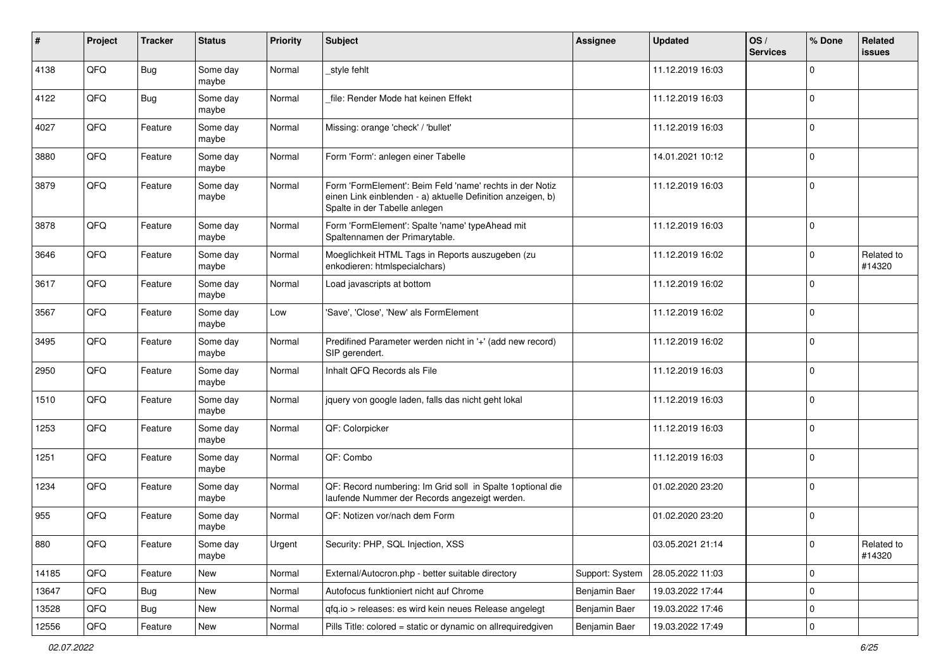| $\sharp$ | Project | <b>Tracker</b> | <b>Status</b>     | <b>Priority</b> | <b>Subject</b>                                                                                                                                           | Assignee        | <b>Updated</b>   | OS/<br><b>Services</b> | % Done      | Related<br>issues    |
|----------|---------|----------------|-------------------|-----------------|----------------------------------------------------------------------------------------------------------------------------------------------------------|-----------------|------------------|------------------------|-------------|----------------------|
| 4138     | QFQ     | <b>Bug</b>     | Some day<br>maybe | Normal          | _style fehlt                                                                                                                                             |                 | 11.12.2019 16:03 |                        | $\Omega$    |                      |
| 4122     | QFQ     | <b>Bug</b>     | Some day<br>maybe | Normal          | file: Render Mode hat keinen Effekt                                                                                                                      |                 | 11.12.2019 16:03 |                        | $\mathbf 0$ |                      |
| 4027     | QFQ     | Feature        | Some day<br>maybe | Normal          | Missing: orange 'check' / 'bullet'                                                                                                                       |                 | 11.12.2019 16:03 |                        | 0           |                      |
| 3880     | QFQ     | Feature        | Some day<br>maybe | Normal          | Form 'Form': anlegen einer Tabelle                                                                                                                       |                 | 14.01.2021 10:12 |                        | $\mathbf 0$ |                      |
| 3879     | QFQ     | Feature        | Some day<br>maybe | Normal          | Form 'FormElement': Beim Feld 'name' rechts in der Notiz<br>einen Link einblenden - a) aktuelle Definition anzeigen, b)<br>Spalte in der Tabelle anlegen |                 | 11.12.2019 16:03 |                        | $\mathbf 0$ |                      |
| 3878     | QFQ     | Feature        | Some day<br>maybe | Normal          | Form 'FormElement': Spalte 'name' typeAhead mit<br>Spaltennamen der Primarytable.                                                                        |                 | 11.12.2019 16:03 |                        | $\Omega$    |                      |
| 3646     | QFQ     | Feature        | Some day<br>maybe | Normal          | Moeglichkeit HTML Tags in Reports auszugeben (zu<br>enkodieren: htmlspecialchars)                                                                        |                 | 11.12.2019 16:02 |                        | $\Omega$    | Related to<br>#14320 |
| 3617     | QFQ     | Feature        | Some day<br>maybe | Normal          | Load javascripts at bottom                                                                                                                               |                 | 11.12.2019 16:02 |                        | $\Omega$    |                      |
| 3567     | QFQ     | Feature        | Some day<br>maybe | Low             | 'Save', 'Close', 'New' als FormElement                                                                                                                   |                 | 11.12.2019 16:02 |                        | $\mathbf 0$ |                      |
| 3495     | QFQ     | Feature        | Some day<br>maybe | Normal          | Predifined Parameter werden nicht in '+' (add new record)<br>SIP gerendert.                                                                              |                 | 11.12.2019 16:02 |                        | 0           |                      |
| 2950     | QFQ     | Feature        | Some day<br>maybe | Normal          | Inhalt QFQ Records als File                                                                                                                              |                 | 11.12.2019 16:03 |                        | $\Omega$    |                      |
| 1510     | QFQ     | Feature        | Some day<br>maybe | Normal          | jquery von google laden, falls das nicht geht lokal                                                                                                      |                 | 11.12.2019 16:03 |                        | $\Omega$    |                      |
| 1253     | QFQ     | Feature        | Some day<br>maybe | Normal          | QF: Colorpicker                                                                                                                                          |                 | 11.12.2019 16:03 |                        | $\Omega$    |                      |
| 1251     | QFQ     | Feature        | Some day<br>maybe | Normal          | QF: Combo                                                                                                                                                |                 | 11.12.2019 16:03 |                        | $\Omega$    |                      |
| 1234     | QFQ     | Feature        | Some day<br>maybe | Normal          | QF: Record numbering: Im Grid soll in Spalte 1 optional die<br>laufende Nummer der Records angezeigt werden.                                             |                 | 01.02.2020 23:20 |                        | 0           |                      |
| 955      | QFQ     | Feature        | Some day<br>maybe | Normal          | QF: Notizen vor/nach dem Form                                                                                                                            |                 | 01.02.2020 23:20 |                        | $\mathbf 0$ |                      |
| 880      | QFQ     | Feature        | Some day<br>maybe | Urgent          | Security: PHP, SQL Injection, XSS                                                                                                                        |                 | 03.05.2021 21:14 |                        | 0           | Related to<br>#14320 |
| 14185    | QFQ     | Feature        | New               | Normal          | External/Autocron.php - better suitable directory                                                                                                        | Support: System | 28.05.2022 11:03 |                        | $\mathbf 0$ |                      |
| 13647    | QFQ     | <b>Bug</b>     | New               | Normal          | Autofocus funktioniert nicht auf Chrome                                                                                                                  | Benjamin Baer   | 19.03.2022 17:44 |                        | 0           |                      |
| 13528    | QFQ     | <b>Bug</b>     | New               | Normal          | qfq.io > releases: es wird kein neues Release angelegt                                                                                                   | Benjamin Baer   | 19.03.2022 17:46 |                        | 0           |                      |
| 12556    | QFQ     | Feature        | New               | Normal          | Pills Title: colored = static or dynamic on allrequiredgiven                                                                                             | Benjamin Baer   | 19.03.2022 17:49 |                        | 0           |                      |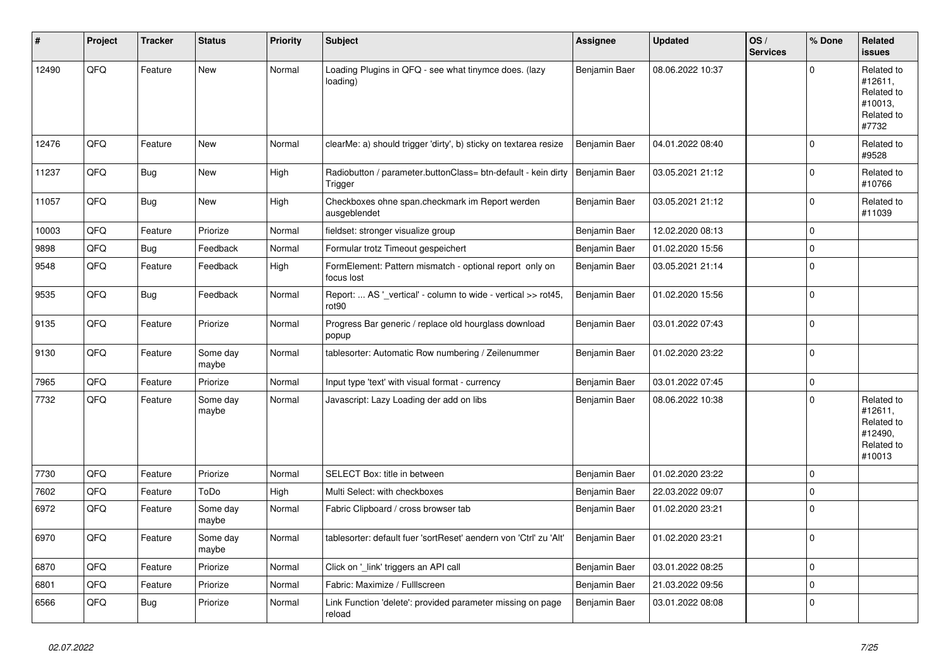| #     | Project | <b>Tracker</b> | <b>Status</b>     | <b>Priority</b> | <b>Subject</b>                                                           | Assignee      | <b>Updated</b>   | OS/<br><b>Services</b> | % Done      | Related<br><b>issues</b>                                               |
|-------|---------|----------------|-------------------|-----------------|--------------------------------------------------------------------------|---------------|------------------|------------------------|-------------|------------------------------------------------------------------------|
| 12490 | QFQ     | Feature        | <b>New</b>        | Normal          | Loading Plugins in QFQ - see what tinymce does. (lazy<br>loading)        | Benjamin Baer | 08.06.2022 10:37 |                        | $\Omega$    | Related to<br>#12611,<br>Related to<br>#10013,<br>Related to<br>#7732  |
| 12476 | QFQ     | Feature        | <b>New</b>        | Normal          | clearMe: a) should trigger 'dirty', b) sticky on textarea resize         | Benjamin Baer | 04.01.2022 08:40 |                        | $\Omega$    | Related to<br>#9528                                                    |
| 11237 | QFQ     | Bug            | <b>New</b>        | High            | Radiobutton / parameter.buttonClass= btn-default - kein dirty<br>Trigger | Benjamin Baer | 03.05.2021 21:12 |                        | $\Omega$    | Related to<br>#10766                                                   |
| 11057 | QFQ     | <b>Bug</b>     | <b>New</b>        | High            | Checkboxes ohne span.checkmark im Report werden<br>ausgeblendet          | Benjamin Baer | 03.05.2021 21:12 |                        | $\Omega$    | Related to<br>#11039                                                   |
| 10003 | QFQ     | Feature        | Priorize          | Normal          | fieldset: stronger visualize group                                       | Benjamin Baer | 12.02.2020 08:13 |                        | $\mathbf 0$ |                                                                        |
| 9898  | QFQ     | <b>Bug</b>     | Feedback          | Normal          | Formular trotz Timeout gespeichert                                       | Benjamin Baer | 01.02.2020 15:56 |                        | $\mathbf 0$ |                                                                        |
| 9548  | QFQ     | Feature        | Feedback          | High            | FormElement: Pattern mismatch - optional report only on<br>focus lost    | Benjamin Baer | 03.05.2021 21:14 |                        | $\mathbf 0$ |                                                                        |
| 9535  | QFQ     | <b>Bug</b>     | Feedback          | Normal          | Report:  AS '_vertical' - column to wide - vertical >> rot45,<br>rot90   | Benjamin Baer | 01.02.2020 15:56 |                        | $\Omega$    |                                                                        |
| 9135  | QFQ     | Feature        | Priorize          | Normal          | Progress Bar generic / replace old hourglass download<br>popup           | Benjamin Baer | 03.01.2022 07:43 |                        | $\Omega$    |                                                                        |
| 9130  | QFQ     | Feature        | Some day<br>maybe | Normal          | tablesorter: Automatic Row numbering / Zeilenummer                       | Benjamin Baer | 01.02.2020 23:22 |                        | $\mathbf 0$ |                                                                        |
| 7965  | QFQ     | Feature        | Priorize          | Normal          | Input type 'text' with visual format - currency                          | Benjamin Baer | 03.01.2022 07:45 |                        | $\pmb{0}$   |                                                                        |
| 7732  | QFQ     | Feature        | Some day<br>maybe | Normal          | Javascript: Lazy Loading der add on libs                                 | Benjamin Baer | 08.06.2022 10:38 |                        | $\Omega$    | Related to<br>#12611,<br>Related to<br>#12490,<br>Related to<br>#10013 |
| 7730  | QFQ     | Feature        | Priorize          | Normal          | SELECT Box: title in between                                             | Benjamin Baer | 01.02.2020 23:22 |                        | $\mathbf 0$ |                                                                        |
| 7602  | QFQ     | Feature        | ToDo              | High            | Multi Select: with checkboxes                                            | Benjamin Baer | 22.03.2022 09:07 |                        | $\Omega$    |                                                                        |
| 6972  | QFQ     | Feature        | Some day<br>maybe | Normal          | Fabric Clipboard / cross browser tab                                     | Benjamin Baer | 01.02.2020 23:21 |                        | $\Omega$    |                                                                        |
| 6970  | QFQ     | Feature        | Some day<br>maybe | Normal          | tablesorter: default fuer 'sortReset' aendern von 'Ctrl' zu 'Alt'        | Benjamin Baer | 01.02.2020 23:21 |                        | $\Omega$    |                                                                        |
| 6870  | QFQ     | Feature        | Priorize          | Normal          | Click on '_link' triggers an API call                                    | Benjamin Baer | 03.01.2022 08:25 |                        | $\mathbf 0$ |                                                                        |
| 6801  | QFQ     | Feature        | Priorize          | Normal          | Fabric: Maximize / FullIscreen                                           | Benjamin Baer | 21.03.2022 09:56 |                        | $\mathbf 0$ |                                                                        |
| 6566  | QFQ     | Bug            | Priorize          | Normal          | Link Function 'delete': provided parameter missing on page<br>reload     | Benjamin Baer | 03.01.2022 08:08 |                        | $\Omega$    |                                                                        |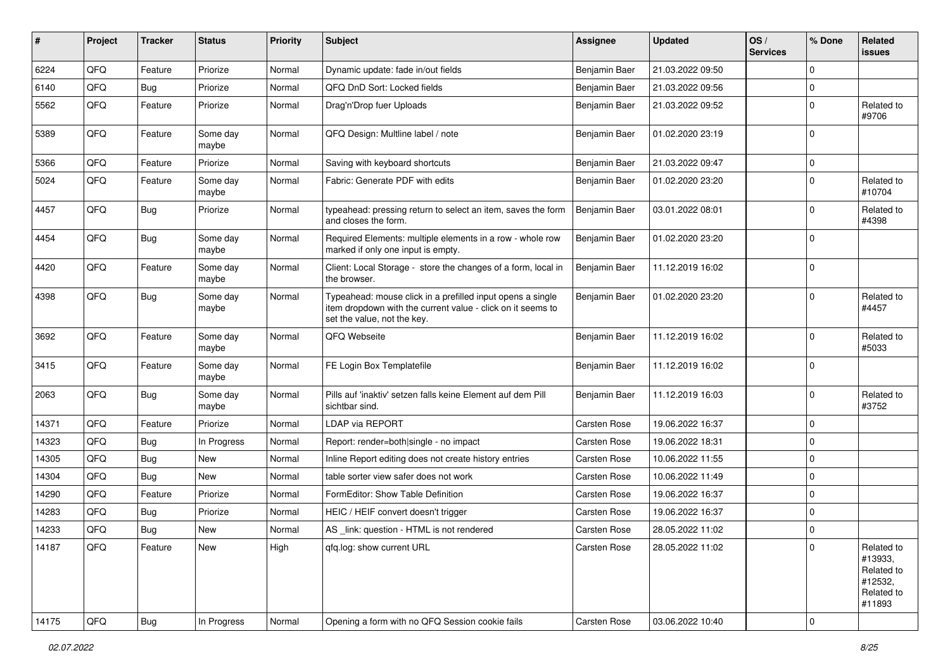| #     | Project | <b>Tracker</b> | <b>Status</b>     | <b>Priority</b> | <b>Subject</b>                                                                                                                                           | <b>Assignee</b>     | <b>Updated</b>   | OS/<br><b>Services</b> | % Done      | Related<br><b>issues</b>                                               |
|-------|---------|----------------|-------------------|-----------------|----------------------------------------------------------------------------------------------------------------------------------------------------------|---------------------|------------------|------------------------|-------------|------------------------------------------------------------------------|
| 6224  | QFQ     | Feature        | Priorize          | Normal          | Dynamic update: fade in/out fields                                                                                                                       | Benjamin Baer       | 21.03.2022 09:50 |                        | $\mathbf 0$ |                                                                        |
| 6140  | QFQ     | Bug            | Priorize          | Normal          | QFQ DnD Sort: Locked fields                                                                                                                              | Benjamin Baer       | 21.03.2022 09:56 |                        | 0           |                                                                        |
| 5562  | QFQ     | Feature        | Priorize          | Normal          | Drag'n'Drop fuer Uploads                                                                                                                                 | Benjamin Baer       | 21.03.2022 09:52 |                        | $\mathbf 0$ | Related to<br>#9706                                                    |
| 5389  | QFQ     | Feature        | Some day<br>maybe | Normal          | QFQ Design: Multline label / note                                                                                                                        | Benjamin Baer       | 01.02.2020 23:19 |                        | $\Omega$    |                                                                        |
| 5366  | QFQ     | Feature        | Priorize          | Normal          | Saving with keyboard shortcuts                                                                                                                           | Benjamin Baer       | 21.03.2022 09:47 |                        | $\mathbf 0$ |                                                                        |
| 5024  | QFQ     | Feature        | Some day<br>maybe | Normal          | Fabric: Generate PDF with edits                                                                                                                          | Benjamin Baer       | 01.02.2020 23:20 |                        | $\Omega$    | Related to<br>#10704                                                   |
| 4457  | QFQ     | Bug            | Priorize          | Normal          | typeahead: pressing return to select an item, saves the form<br>and closes the form.                                                                     | Benjamin Baer       | 03.01.2022 08:01 |                        | 0           | Related to<br>#4398                                                    |
| 4454  | QFQ     | <b>Bug</b>     | Some day<br>maybe | Normal          | Required Elements: multiple elements in a row - whole row<br>marked if only one input is empty.                                                          | Benjamin Baer       | 01.02.2020 23:20 |                        | $\mathbf 0$ |                                                                        |
| 4420  | QFQ     | Feature        | Some day<br>maybe | Normal          | Client: Local Storage - store the changes of a form, local in<br>the browser.                                                                            | Benjamin Baer       | 11.12.2019 16:02 |                        | $\mathbf 0$ |                                                                        |
| 4398  | QFQ     | <b>Bug</b>     | Some day<br>maybe | Normal          | Typeahead: mouse click in a prefilled input opens a single<br>item dropdown with the current value - click on it seems to<br>set the value, not the key. | Benjamin Baer       | 01.02.2020 23:20 |                        | $\Omega$    | Related to<br>#4457                                                    |
| 3692  | QFQ     | Feature        | Some day<br>maybe | Normal          | QFQ Webseite                                                                                                                                             | Benjamin Baer       | 11.12.2019 16:02 |                        | $\Omega$    | Related to<br>#5033                                                    |
| 3415  | QFQ     | Feature        | Some day<br>maybe | Normal          | FE Login Box Templatefile                                                                                                                                | Benjamin Baer       | 11.12.2019 16:02 |                        | $\mathbf 0$ |                                                                        |
| 2063  | QFQ     | <b>Bug</b>     | Some day<br>maybe | Normal          | Pills auf 'inaktiv' setzen falls keine Element auf dem Pill<br>sichtbar sind.                                                                            | Benjamin Baer       | 11.12.2019 16:03 |                        | $\mathbf 0$ | Related to<br>#3752                                                    |
| 14371 | QFQ     | Feature        | Priorize          | Normal          | <b>LDAP via REPORT</b>                                                                                                                                   | Carsten Rose        | 19.06.2022 16:37 |                        | $\mathbf 0$ |                                                                        |
| 14323 | QFQ     | <b>Bug</b>     | In Progress       | Normal          | Report: render=both single - no impact                                                                                                                   | <b>Carsten Rose</b> | 19.06.2022 18:31 |                        | $\mathbf 0$ |                                                                        |
| 14305 | QFQ     | Bug            | New               | Normal          | Inline Report editing does not create history entries                                                                                                    | Carsten Rose        | 10.06.2022 11:55 |                        | $\mathbf 0$ |                                                                        |
| 14304 | QFQ     | <b>Bug</b>     | New               | Normal          | table sorter view safer does not work                                                                                                                    | Carsten Rose        | 10.06.2022 11:49 |                        | 0           |                                                                        |
| 14290 | QFQ     | Feature        | Priorize          | Normal          | FormEditor: Show Table Definition                                                                                                                        | Carsten Rose        | 19.06.2022 16:37 |                        | 0           |                                                                        |
| 14283 | QFQ     | Bug            | Priorize          | Normal          | HEIC / HEIF convert doesn't trigger                                                                                                                      | Carsten Rose        | 19.06.2022 16:37 |                        | $\mathbf 0$ |                                                                        |
| 14233 | QFQ     | <b>Bug</b>     | New               | Normal          | AS link: question - HTML is not rendered                                                                                                                 | Carsten Rose        | 28.05.2022 11:02 |                        | 0           |                                                                        |
| 14187 | QFQ     | Feature        | New               | High            | qfq.log: show current URL                                                                                                                                | Carsten Rose        | 28.05.2022 11:02 |                        | $\mathbf 0$ | Related to<br>#13933,<br>Related to<br>#12532,<br>Related to<br>#11893 |
| 14175 | QFQ     | Bug            | In Progress       | Normal          | Opening a form with no QFQ Session cookie fails                                                                                                          | Carsten Rose        | 03.06.2022 10:40 |                        | 0           |                                                                        |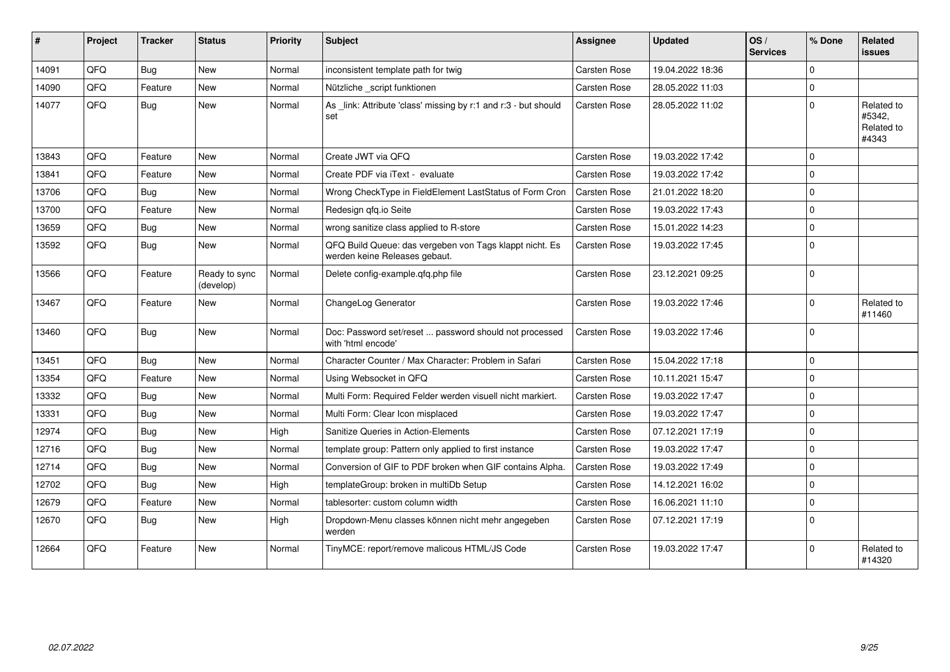| #     | Project | <b>Tracker</b> | <b>Status</b>              | <b>Priority</b> | <b>Subject</b>                                                                           | Assignee            | <b>Updated</b>   | OS/<br><b>Services</b> | % Done      | Related<br>issues                           |
|-------|---------|----------------|----------------------------|-----------------|------------------------------------------------------------------------------------------|---------------------|------------------|------------------------|-------------|---------------------------------------------|
| 14091 | QFQ     | <b>Bug</b>     | <b>New</b>                 | Normal          | inconsistent template path for twig                                                      | Carsten Rose        | 19.04.2022 18:36 |                        | $\Omega$    |                                             |
| 14090 | QFQ     | Feature        | <b>New</b>                 | Normal          | Nützliche _script funktionen                                                             | Carsten Rose        | 28.05.2022 11:03 |                        | $\Omega$    |                                             |
| 14077 | QFQ     | <b>Bug</b>     | <b>New</b>                 | Normal          | As link: Attribute 'class' missing by r:1 and r:3 - but should<br>set                    | Carsten Rose        | 28.05.2022 11:02 |                        | $\Omega$    | Related to<br>#5342,<br>Related to<br>#4343 |
| 13843 | QFQ     | Feature        | <b>New</b>                 | Normal          | Create JWT via QFQ                                                                       | Carsten Rose        | 19.03.2022 17:42 |                        | $\Omega$    |                                             |
| 13841 | QFQ     | Feature        | New                        | Normal          | Create PDF via iText - evaluate                                                          | Carsten Rose        | 19.03.2022 17:42 |                        | $\Omega$    |                                             |
| 13706 | QFQ     | Bug            | <b>New</b>                 | Normal          | Wrong CheckType in FieldElement LastStatus of Form Cron                                  | Carsten Rose        | 21.01.2022 18:20 |                        | $\Omega$    |                                             |
| 13700 | QFQ     | Feature        | <b>New</b>                 | Normal          | Redesign qfq.io Seite                                                                    | Carsten Rose        | 19.03.2022 17:43 |                        | $\Omega$    |                                             |
| 13659 | QFQ     | <b>Bug</b>     | <b>New</b>                 | Normal          | wrong sanitize class applied to R-store                                                  | Carsten Rose        | 15.01.2022 14:23 |                        | $\Omega$    |                                             |
| 13592 | QFQ     | Bug            | <b>New</b>                 | Normal          | QFQ Build Queue: das vergeben von Tags klappt nicht. Es<br>werden keine Releases gebaut. | <b>Carsten Rose</b> | 19.03.2022 17:45 |                        | $\Omega$    |                                             |
| 13566 | QFQ     | Feature        | Ready to sync<br>(develop) | Normal          | Delete config-example.qfq.php file                                                       | Carsten Rose        | 23.12.2021 09:25 |                        | $\Omega$    |                                             |
| 13467 | QFQ     | Feature        | <b>New</b>                 | Normal          | ChangeLog Generator                                                                      | Carsten Rose        | 19.03.2022 17:46 |                        | $\Omega$    | Related to<br>#11460                        |
| 13460 | QFQ     | <b>Bug</b>     | <b>New</b>                 | Normal          | Doc: Password set/reset  password should not processed<br>with 'html encode'             | <b>Carsten Rose</b> | 19.03.2022 17:46 |                        | $\Omega$    |                                             |
| 13451 | QFQ     | Bug            | <b>New</b>                 | Normal          | Character Counter / Max Character: Problem in Safari                                     | Carsten Rose        | 15.04.2022 17:18 |                        | $\mathbf 0$ |                                             |
| 13354 | QFQ     | Feature        | <b>New</b>                 | Normal          | Using Websocket in QFQ                                                                   | Carsten Rose        | 10.11.2021 15:47 |                        | $\Omega$    |                                             |
| 13332 | QFQ     | <b>Bug</b>     | <b>New</b>                 | Normal          | Multi Form: Required Felder werden visuell nicht markiert.                               | <b>Carsten Rose</b> | 19.03.2022 17:47 |                        | $\Omega$    |                                             |
| 13331 | QFQ     | <b>Bug</b>     | <b>New</b>                 | Normal          | Multi Form: Clear Icon misplaced                                                         | Carsten Rose        | 19.03.2022 17:47 |                        | $\Omega$    |                                             |
| 12974 | QFQ     | <b>Bug</b>     | <b>New</b>                 | High            | Sanitize Queries in Action-Elements                                                      | <b>Carsten Rose</b> | 07.12.2021 17:19 |                        | $\Omega$    |                                             |
| 12716 | QFQ     | <b>Bug</b>     | <b>New</b>                 | Normal          | template group: Pattern only applied to first instance                                   | Carsten Rose        | 19.03.2022 17:47 |                        | $\Omega$    |                                             |
| 12714 | QFQ     | <b>Bug</b>     | <b>New</b>                 | Normal          | Conversion of GIF to PDF broken when GIF contains Alpha.                                 | <b>Carsten Rose</b> | 19.03.2022 17:49 |                        | $\Omega$    |                                             |
| 12702 | QFQ     | <b>Bug</b>     | <b>New</b>                 | High            | templateGroup: broken in multiDb Setup                                                   | Carsten Rose        | 14.12.2021 16:02 |                        | $\Omega$    |                                             |
| 12679 | QFQ     | Feature        | <b>New</b>                 | Normal          | tablesorter: custom column width                                                         | Carsten Rose        | 16.06.2021 11:10 |                        | $\Omega$    |                                             |
| 12670 | QFQ     | Bug            | <b>New</b>                 | High            | Dropdown-Menu classes können nicht mehr angegeben<br>werden                              | Carsten Rose        | 07.12.2021 17:19 |                        | $\Omega$    |                                             |
| 12664 | QFQ     | Feature        | <b>New</b>                 | Normal          | TinyMCE: report/remove malicous HTML/JS Code                                             | Carsten Rose        | 19.03.2022 17:47 |                        | $\Omega$    | Related to<br>#14320                        |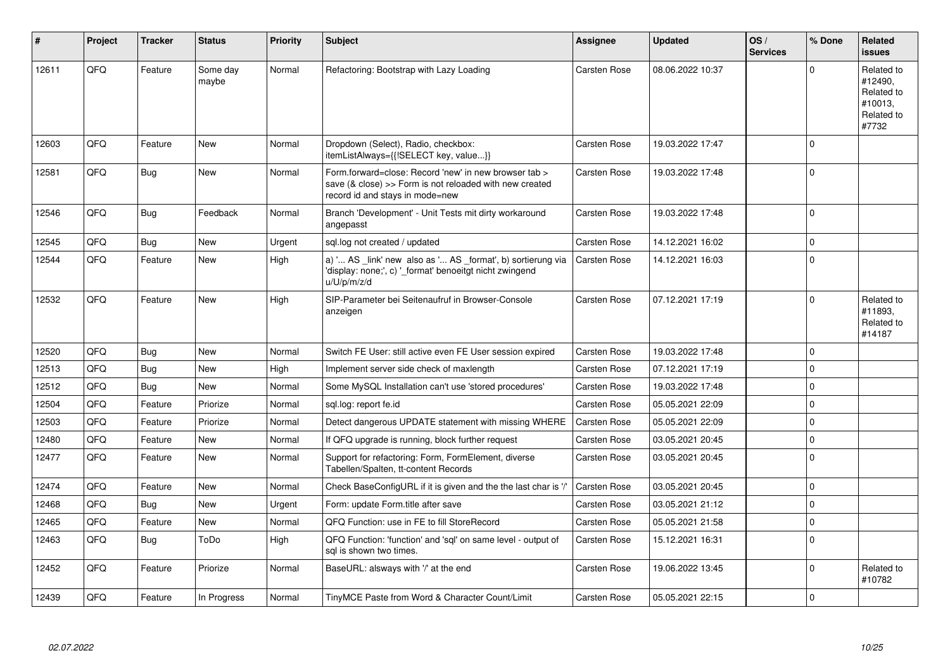| #     | Project    | <b>Tracker</b> | <b>Status</b>     | <b>Priority</b> | <b>Subject</b>                                                                                                                                      | Assignee            | <b>Updated</b>   | OS/<br><b>Services</b> | % Done   | <b>Related</b><br><b>issues</b>                                       |
|-------|------------|----------------|-------------------|-----------------|-----------------------------------------------------------------------------------------------------------------------------------------------------|---------------------|------------------|------------------------|----------|-----------------------------------------------------------------------|
| 12611 | QFQ        | Feature        | Some day<br>maybe | Normal          | Refactoring: Bootstrap with Lazy Loading                                                                                                            | <b>Carsten Rose</b> | 08.06.2022 10:37 |                        | $\Omega$ | Related to<br>#12490.<br>Related to<br>#10013.<br>Related to<br>#7732 |
| 12603 | QFQ        | Feature        | <b>New</b>        | Normal          | Dropdown (Select), Radio, checkbox:<br>itemListAlways={{!SELECT key, value}}                                                                        | Carsten Rose        | 19.03.2022 17:47 |                        | $\Omega$ |                                                                       |
| 12581 | QFQ        | <b>Bug</b>     | <b>New</b>        | Normal          | Form.forward=close: Record 'new' in new browser tab ><br>save (& close) >> Form is not reloaded with new created<br>record id and stays in mode=new | Carsten Rose        | 19.03.2022 17:48 |                        | $\Omega$ |                                                                       |
| 12546 | QFQ        | <b>Bug</b>     | Feedback          | Normal          | Branch 'Development' - Unit Tests mit dirty workaround<br>angepasst                                                                                 | <b>Carsten Rose</b> | 19.03.2022 17:48 |                        | $\Omega$ |                                                                       |
| 12545 | QFQ        | Bug            | <b>New</b>        | Urgent          | sql.log not created / updated                                                                                                                       | <b>Carsten Rose</b> | 14.12.2021 16:02 |                        | $\Omega$ |                                                                       |
| 12544 | QFQ        | Feature        | <b>New</b>        | High            | a) ' AS _link' new also as ' AS _format', b) sortierung via<br>'display: none;', c) ' format' benoeitgt nicht zwingend<br>u/U/p/m/z/d               | <b>Carsten Rose</b> | 14.12.2021 16:03 |                        | $\Omega$ |                                                                       |
| 12532 | QFQ        | Feature        | <b>New</b>        | High            | SIP-Parameter bei Seitenaufruf in Browser-Console<br>anzeigen                                                                                       | Carsten Rose        | 07.12.2021 17:19 |                        | $\Omega$ | Related to<br>#11893.<br>Related to<br>#14187                         |
| 12520 | <b>OFO</b> | <b>Bug</b>     | <b>New</b>        | Normal          | Switch FE User: still active even FE User session expired                                                                                           | <b>Carsten Rose</b> | 19.03.2022 17:48 |                        | $\Omega$ |                                                                       |
| 12513 | QFQ        | Bug            | <b>New</b>        | High            | Implement server side check of maxlength                                                                                                            | <b>Carsten Rose</b> | 07.12.2021 17:19 |                        | $\Omega$ |                                                                       |
| 12512 | QFQ        | <b>Bug</b>     | <b>New</b>        | Normal          | Some MySQL Installation can't use 'stored procedures'                                                                                               | Carsten Rose        | 19.03.2022 17:48 |                        | $\Omega$ |                                                                       |
| 12504 | QFQ        | Feature        | Priorize          | Normal          | sql.log: report fe.id                                                                                                                               | <b>Carsten Rose</b> | 05.05.2021 22:09 |                        | $\Omega$ |                                                                       |
| 12503 | QFQ        | Feature        | Priorize          | Normal          | Detect dangerous UPDATE statement with missing WHERE                                                                                                | <b>Carsten Rose</b> | 05.05.2021 22:09 |                        | $\Omega$ |                                                                       |
| 12480 | QFQ        | Feature        | <b>New</b>        | Normal          | If QFQ upgrade is running, block further request                                                                                                    | Carsten Rose        | 03.05.2021 20:45 |                        | $\Omega$ |                                                                       |
| 12477 | QFQ        | Feature        | <b>New</b>        | Normal          | Support for refactoring: Form, FormElement, diverse<br>Tabellen/Spalten, tt-content Records                                                         | Carsten Rose        | 03.05.2021 20:45 |                        | $\Omega$ |                                                                       |
| 12474 | <b>OFO</b> | Feature        | <b>New</b>        | Normal          | Check BaseConfigURL if it is given and the the last char is '/'                                                                                     | Carsten Rose        | 03.05.2021 20:45 |                        | $\Omega$ |                                                                       |
| 12468 | QFQ        | Bug            | New               | Urgent          | Form: update Form.title after save                                                                                                                  | <b>Carsten Rose</b> | 03.05.2021 21:12 |                        | $\Omega$ |                                                                       |
| 12465 | QFQ        | Feature        | <b>New</b>        | Normal          | QFQ Function: use in FE to fill StoreRecord                                                                                                         | Carsten Rose        | 05.05.2021 21:58 |                        | $\Omega$ |                                                                       |
| 12463 | QFQ        | Bug            | ToDo              | High            | QFQ Function: 'function' and 'sql' on same level - output of<br>sal is shown two times.                                                             | <b>Carsten Rose</b> | 15.12.2021 16:31 |                        | $\Omega$ |                                                                       |
| 12452 | QFQ        | Feature        | Priorize          | Normal          | BaseURL: alsways with '/' at the end                                                                                                                | <b>Carsten Rose</b> | 19.06.2022 13:45 |                        | $\Omega$ | Related to<br>#10782                                                  |
| 12439 | QFQ        | Feature        | In Progress       | Normal          | TinyMCE Paste from Word & Character Count/Limit                                                                                                     | <b>Carsten Rose</b> | 05.05.2021 22:15 |                        | $\Omega$ |                                                                       |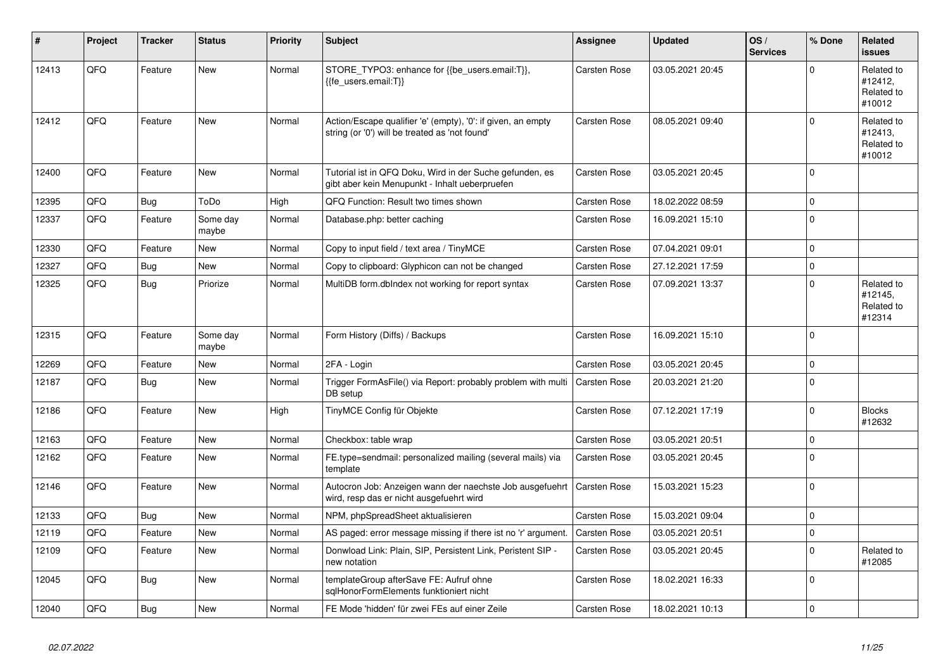| ∦     | Project | <b>Tracker</b> | <b>Status</b>     | <b>Priority</b> | <b>Subject</b>                                                                                                 | Assignee            | <b>Updated</b>   | OS/<br><b>Services</b> | % Done         | Related<br><b>issues</b>                      |
|-------|---------|----------------|-------------------|-----------------|----------------------------------------------------------------------------------------------------------------|---------------------|------------------|------------------------|----------------|-----------------------------------------------|
| 12413 | QFQ     | Feature        | <b>New</b>        | Normal          | STORE_TYPO3: enhance for {{be_users.email:T}},<br>{{fe users.email:T}}                                         | Carsten Rose        | 03.05.2021 20:45 |                        | $\Omega$       | Related to<br>#12412,<br>Related to<br>#10012 |
| 12412 | QFQ     | Feature        | <b>New</b>        | Normal          | Action/Escape qualifier 'e' (empty), '0': if given, an empty<br>string (or '0') will be treated as 'not found' | <b>Carsten Rose</b> | 08.05.2021 09:40 |                        | $\Omega$       | Related to<br>#12413.<br>Related to<br>#10012 |
| 12400 | QFQ     | Feature        | New               | Normal          | Tutorial ist in QFQ Doku, Wird in der Suche gefunden, es<br>gibt aber kein Menupunkt - Inhalt ueberpruefen     | Carsten Rose        | 03.05.2021 20:45 |                        | $\mathbf 0$    |                                               |
| 12395 | QFQ     | Bug            | ToDo              | High            | QFQ Function: Result two times shown                                                                           | <b>Carsten Rose</b> | 18.02.2022 08:59 |                        | $\mathbf 0$    |                                               |
| 12337 | QFQ     | Feature        | Some day<br>maybe | Normal          | Database.php: better caching                                                                                   | <b>Carsten Rose</b> | 16.09.2021 15:10 |                        | $\Omega$       |                                               |
| 12330 | QFQ     | Feature        | <b>New</b>        | Normal          | Copy to input field / text area / TinyMCE                                                                      | <b>Carsten Rose</b> | 07.04.2021 09:01 |                        | $\mathbf 0$    |                                               |
| 12327 | QFQ     | <b>Bug</b>     | <b>New</b>        | Normal          | Copy to clipboard: Glyphicon can not be changed                                                                | Carsten Rose        | 27.12.2021 17:59 |                        | $\overline{0}$ |                                               |
| 12325 | QFQ     | Bug            | Priorize          | Normal          | MultiDB form.dblndex not working for report syntax                                                             | Carsten Rose        | 07.09.2021 13:37 |                        | $\Omega$       | Related to<br>#12145,<br>Related to<br>#12314 |
| 12315 | QFQ     | Feature        | Some day<br>maybe | Normal          | Form History (Diffs) / Backups                                                                                 | <b>Carsten Rose</b> | 16.09.2021 15:10 |                        | $\Omega$       |                                               |
| 12269 | QFQ     | Feature        | <b>New</b>        | Normal          | 2FA - Login                                                                                                    | Carsten Rose        | 03.05.2021 20:45 |                        | $\mathbf 0$    |                                               |
| 12187 | QFQ     | <b>Bug</b>     | <b>New</b>        | Normal          | Trigger FormAsFile() via Report: probably problem with multi<br>DB setup                                       | <b>Carsten Rose</b> | 20.03.2021 21:20 |                        | $\Omega$       |                                               |
| 12186 | QFQ     | Feature        | <b>New</b>        | High            | TinyMCE Config für Objekte                                                                                     | <b>Carsten Rose</b> | 07.12.2021 17:19 |                        | $\mathbf 0$    | <b>Blocks</b><br>#12632                       |
| 12163 | QFQ     | Feature        | <b>New</b>        | Normal          | Checkbox: table wrap                                                                                           | Carsten Rose        | 03.05.2021 20:51 |                        | $\mathbf 0$    |                                               |
| 12162 | QFQ     | Feature        | <b>New</b>        | Normal          | FE.type=sendmail: personalized mailing (several mails) via<br>template                                         | Carsten Rose        | 03.05.2021 20:45 |                        | $\Omega$       |                                               |
| 12146 | QFQ     | Feature        | <b>New</b>        | Normal          | Autocron Job: Anzeigen wann der naechste Job ausgefuehrt<br>wird, resp das er nicht ausgefuehrt wird           | Carsten Rose        | 15.03.2021 15:23 |                        | $\Omega$       |                                               |
| 12133 | QFQ     | Bug            | <b>New</b>        | Normal          | NPM, phpSpreadSheet aktualisieren                                                                              | <b>Carsten Rose</b> | 15.03.2021 09:04 |                        | $\Omega$       |                                               |
| 12119 | QFQ     | Feature        | <b>New</b>        | Normal          | AS paged: error message missing if there ist no 'r' argument.                                                  | <b>Carsten Rose</b> | 03.05.2021 20:51 |                        | $\Omega$       |                                               |
| 12109 | QFQ     | Feature        | <b>New</b>        | Normal          | Donwload Link: Plain, SIP, Persistent Link, Peristent SIP -<br>new notation                                    | <b>Carsten Rose</b> | 03.05.2021 20:45 |                        | $\Omega$       | Related to<br>#12085                          |
| 12045 | QFQ     | Bug            | New               | Normal          | templateGroup afterSave FE: Aufruf ohne<br>sglHonorFormElements funktioniert nicht                             | Carsten Rose        | 18.02.2021 16:33 |                        | $\Omega$       |                                               |
| 12040 | QFQ     | Bug            | <b>New</b>        | Normal          | FE Mode 'hidden' für zwei FEs auf einer Zeile                                                                  | <b>Carsten Rose</b> | 18.02.2021 10:13 |                        | $\mathbf 0$    |                                               |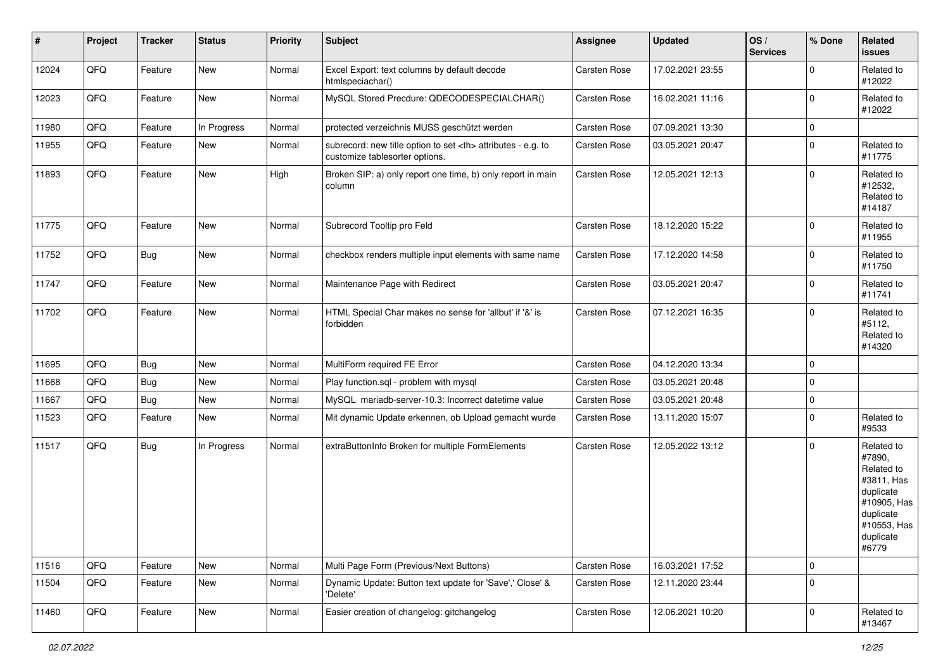| #     | Project | <b>Tracker</b> | <b>Status</b> | <b>Priority</b> | <b>Subject</b>                                                                                       | Assignee                                               | <b>Updated</b>   | OS/<br><b>Services</b> | % Done      | Related<br>issues                                                                                                              |                      |
|-------|---------|----------------|---------------|-----------------|------------------------------------------------------------------------------------------------------|--------------------------------------------------------|------------------|------------------------|-------------|--------------------------------------------------------------------------------------------------------------------------------|----------------------|
| 12024 | QFQ     | Feature        | New           | Normal          | Excel Export: text columns by default decode<br>htmlspeciachar()                                     | Carsten Rose                                           | 17.02.2021 23:55 |                        | $\Omega$    | Related to<br>#12022                                                                                                           |                      |
| 12023 | QFQ     | Feature        | New           | Normal          | MySQL Stored Precdure: QDECODESPECIALCHAR()                                                          | Carsten Rose                                           | 16.02.2021 11:16 |                        | $\mathbf 0$ | Related to<br>#12022                                                                                                           |                      |
| 11980 | QFQ     | Feature        | In Progress   | Normal          | protected verzeichnis MUSS geschützt werden                                                          | Carsten Rose                                           | 07.09.2021 13:30 |                        | $\mathbf 0$ |                                                                                                                                |                      |
| 11955 | QFQ     | Feature        | New           | Normal          | subrecord: new title option to set <th> attributes - e.g. to<br/>customize tablesorter options.</th> | attributes - e.g. to<br>customize tablesorter options. | Carsten Rose     | 03.05.2021 20:47       |             | $\mathbf 0$                                                                                                                    | Related to<br>#11775 |
| 11893 | QFQ     | Feature        | New           | High            | Broken SIP: a) only report one time, b) only report in main<br>column                                | Carsten Rose                                           | 12.05.2021 12:13 |                        | $\mathbf 0$ | Related to<br>#12532,<br>Related to<br>#14187                                                                                  |                      |
| 11775 | QFQ     | Feature        | <b>New</b>    | Normal          | Subrecord Tooltip pro Feld                                                                           | Carsten Rose                                           | 18.12.2020 15:22 |                        | $\mathbf 0$ | Related to<br>#11955                                                                                                           |                      |
| 11752 | QFQ     | <b>Bug</b>     | New           | Normal          | checkbox renders multiple input elements with same name                                              | Carsten Rose                                           | 17.12.2020 14:58 |                        | $\Omega$    | Related to<br>#11750                                                                                                           |                      |
| 11747 | QFQ     | Feature        | New           | Normal          | Maintenance Page with Redirect                                                                       | Carsten Rose                                           | 03.05.2021 20:47 |                        | $\mathbf 0$ | Related to<br>#11741                                                                                                           |                      |
| 11702 | QFQ     | Feature        | New           | Normal          | HTML Special Char makes no sense for 'allbut' if '&' is<br>forbidden                                 | Carsten Rose                                           | 07.12.2021 16:35 |                        | $\Omega$    | Related to<br>#5112,<br>Related to<br>#14320                                                                                   |                      |
| 11695 | QFQ     | <b>Bug</b>     | New           | Normal          | MultiForm required FE Error                                                                          | Carsten Rose                                           | 04.12.2020 13:34 |                        | $\mathbf 0$ |                                                                                                                                |                      |
| 11668 | QFQ     | <b>Bug</b>     | New           | Normal          | Play function.sql - problem with mysql                                                               | Carsten Rose                                           | 03.05.2021 20:48 |                        | $\mathbf 0$ |                                                                                                                                |                      |
| 11667 | QFQ     | Bug            | <b>New</b>    | Normal          | MySQL mariadb-server-10.3: Incorrect datetime value                                                  | Carsten Rose                                           | 03.05.2021 20:48 |                        | $\mathbf 0$ |                                                                                                                                |                      |
| 11523 | QFQ     | Feature        | <b>New</b>    | Normal          | Mit dynamic Update erkennen, ob Upload gemacht wurde                                                 | Carsten Rose                                           | 13.11.2020 15:07 |                        | $\Omega$    | Related to<br>#9533                                                                                                            |                      |
| 11517 | QFQ     | <b>Bug</b>     | In Progress   | Normal          | extraButtonInfo Broken for multiple FormElements                                                     | Carsten Rose                                           | 12.05.2022 13:12 |                        | $\mathbf 0$ | Related to<br>#7890,<br>Related to<br>#3811, Has<br>duplicate<br>#10905, Has<br>duplicate<br>#10553, Has<br>duplicate<br>#6779 |                      |
| 11516 | QFQ     | Feature        | New           | Normal          | Multi Page Form (Previous/Next Buttons)                                                              | Carsten Rose                                           | 16.03.2021 17:52 |                        | $\mathbf 0$ |                                                                                                                                |                      |
| 11504 | QFQ     | Feature        | New           | Normal          | Dynamic Update: Button text update for 'Save',' Close' &<br>'Delete'                                 | Carsten Rose                                           | 12.11.2020 23:44 |                        | $\mathbf 0$ |                                                                                                                                |                      |
| 11460 | QFQ     | Feature        | New           | Normal          | Easier creation of changelog: gitchangelog                                                           | Carsten Rose                                           | 12.06.2021 10:20 |                        | $\mathbf 0$ | Related to<br>#13467                                                                                                           |                      |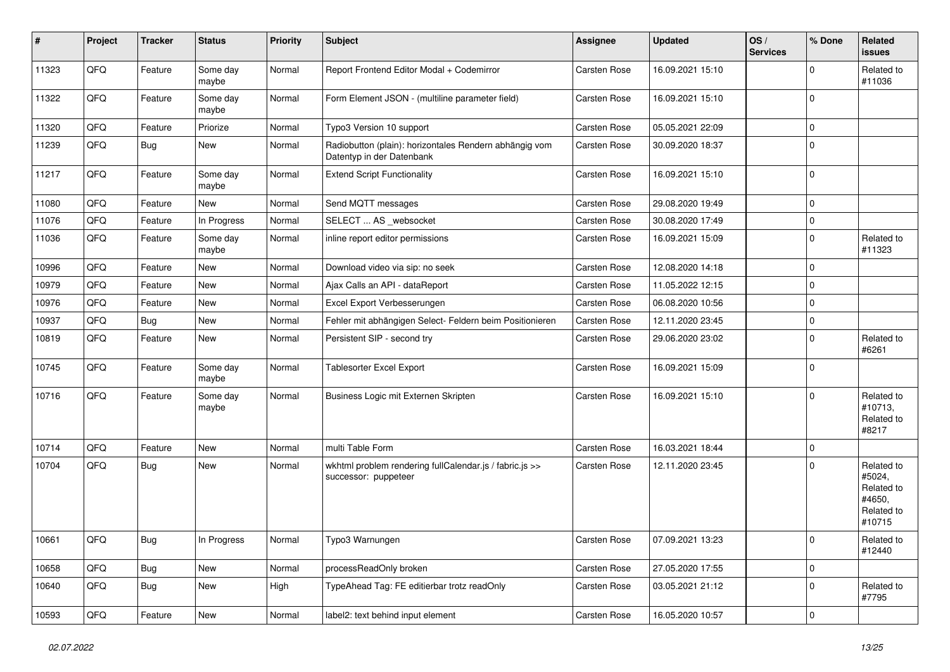| #     | Project | <b>Tracker</b> | <b>Status</b>     | <b>Priority</b> | <b>Subject</b>                                                                      | <b>Assignee</b>     | <b>Updated</b>   | OS/<br><b>Services</b> | % Done      | Related<br>issues                                                    |
|-------|---------|----------------|-------------------|-----------------|-------------------------------------------------------------------------------------|---------------------|------------------|------------------------|-------------|----------------------------------------------------------------------|
| 11323 | QFQ     | Feature        | Some day<br>maybe | Normal          | Report Frontend Editor Modal + Codemirror                                           | Carsten Rose        | 16.09.2021 15:10 |                        | 0           | Related to<br>#11036                                                 |
| 11322 | QFQ     | Feature        | Some day<br>maybe | Normal          | Form Element JSON - (multiline parameter field)                                     | Carsten Rose        | 16.09.2021 15:10 |                        | $\Omega$    |                                                                      |
| 11320 | QFQ     | Feature        | Priorize          | Normal          | Typo3 Version 10 support                                                            | Carsten Rose        | 05.05.2021 22:09 |                        | 0           |                                                                      |
| 11239 | QFQ     | Bug            | New               | Normal          | Radiobutton (plain): horizontales Rendern abhängig vom<br>Datentyp in der Datenbank | Carsten Rose        | 30.09.2020 18:37 |                        | $\Omega$    |                                                                      |
| 11217 | QFQ     | Feature        | Some day<br>maybe | Normal          | <b>Extend Script Functionality</b>                                                  | Carsten Rose        | 16.09.2021 15:10 |                        | $\Omega$    |                                                                      |
| 11080 | QFQ     | Feature        | New               | Normal          | Send MQTT messages                                                                  | Carsten Rose        | 29.08.2020 19:49 |                        | $\mathbf 0$ |                                                                      |
| 11076 | QFQ     | Feature        | In Progress       | Normal          | SELECT  AS _websocket                                                               | <b>Carsten Rose</b> | 30.08.2020 17:49 |                        | 0           |                                                                      |
| 11036 | QFQ     | Feature        | Some day<br>maybe | Normal          | inline report editor permissions                                                    | Carsten Rose        | 16.09.2021 15:09 |                        | $\mathbf 0$ | Related to<br>#11323                                                 |
| 10996 | QFQ     | Feature        | New               | Normal          | Download video via sip: no seek                                                     | Carsten Rose        | 12.08.2020 14:18 |                        | $\Omega$    |                                                                      |
| 10979 | QFQ     | Feature        | <b>New</b>        | Normal          | Ajax Calls an API - dataReport                                                      | Carsten Rose        | 11.05.2022 12:15 |                        | $\mathbf 0$ |                                                                      |
| 10976 | QFQ     | Feature        | New               | Normal          | Excel Export Verbesserungen                                                         | Carsten Rose        | 06.08.2020 10:56 |                        | $\Omega$    |                                                                      |
| 10937 | QFQ     | <b>Bug</b>     | <b>New</b>        | Normal          | Fehler mit abhängigen Select- Feldern beim Positionieren                            | <b>Carsten Rose</b> | 12.11.2020 23:45 |                        | $\mathbf 0$ |                                                                      |
| 10819 | QFQ     | Feature        | New               | Normal          | Persistent SIP - second try                                                         | Carsten Rose        | 29.06.2020 23:02 |                        | $\Omega$    | Related to<br>#6261                                                  |
| 10745 | QFQ     | Feature        | Some day<br>maybe | Normal          | Tablesorter Excel Export                                                            | Carsten Rose        | 16.09.2021 15:09 |                        | $\mathbf 0$ |                                                                      |
| 10716 | QFQ     | Feature        | Some day<br>maybe | Normal          | Business Logic mit Externen Skripten                                                | Carsten Rose        | 16.09.2021 15:10 |                        | $\Omega$    | Related to<br>#10713,<br>Related to<br>#8217                         |
| 10714 | QFQ     | Feature        | <b>New</b>        | Normal          | multi Table Form                                                                    | Carsten Rose        | 16.03.2021 18:44 |                        | $\mathbf 0$ |                                                                      |
| 10704 | QFQ     | <b>Bug</b>     | New               | Normal          | wkhtml problem rendering fullCalendar.js / fabric.js >><br>successor: puppeteer     | Carsten Rose        | 12.11.2020 23:45 |                        | $\Omega$    | Related to<br>#5024,<br>Related to<br>#4650,<br>Related to<br>#10715 |
| 10661 | QFQ     | <b>Bug</b>     | In Progress       | Normal          | Typo3 Warnungen                                                                     | Carsten Rose        | 07.09.2021 13:23 |                        | ΙO          | Related to<br>#12440                                                 |
| 10658 | QFQ     | Bug            | New               | Normal          | processReadOnly broken                                                              | Carsten Rose        | 27.05.2020 17:55 |                        | $\mathbf 0$ |                                                                      |
| 10640 | QFQ     | <b>Bug</b>     | New               | High            | TypeAhead Tag: FE editierbar trotz readOnly                                         | Carsten Rose        | 03.05.2021 21:12 |                        | $\mathbf 0$ | Related to<br>#7795                                                  |
| 10593 | QFQ     | Feature        | New               | Normal          | label2: text behind input element                                                   | Carsten Rose        | 16.05.2020 10:57 |                        | $\mathbf 0$ |                                                                      |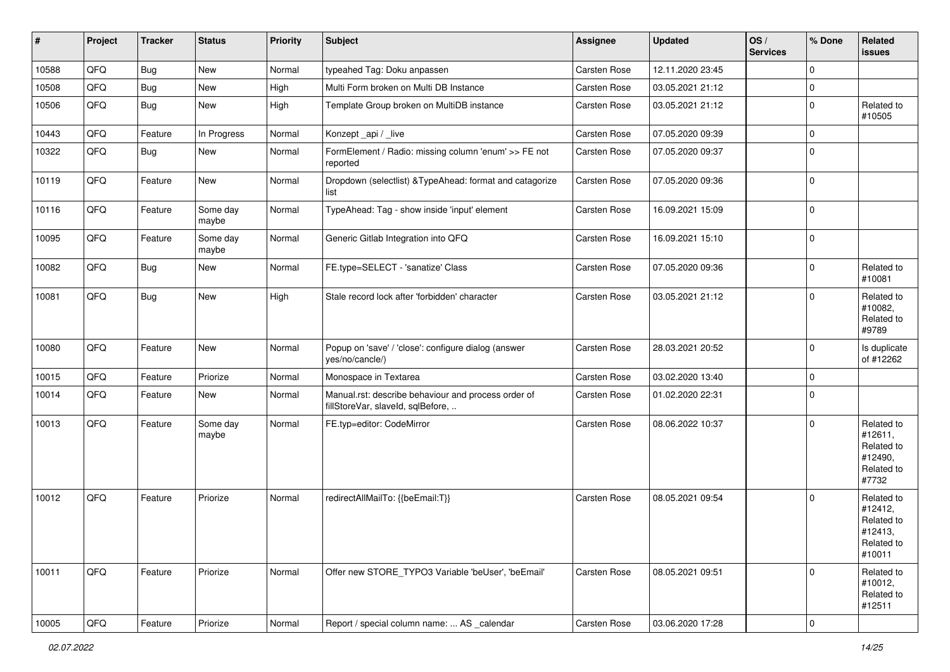| #     | Project | <b>Tracker</b> | <b>Status</b>     | <b>Priority</b> | <b>Subject</b>                                                                           | Assignee     | <b>Updated</b>   | OS/<br><b>Services</b> | % Done                  | Related<br>issues                                                      |
|-------|---------|----------------|-------------------|-----------------|------------------------------------------------------------------------------------------|--------------|------------------|------------------------|-------------------------|------------------------------------------------------------------------|
| 10588 | QFQ     | <b>Bug</b>     | New               | Normal          | typeahed Tag: Doku anpassen                                                              | Carsten Rose | 12.11.2020 23:45 |                        | $\Omega$                |                                                                        |
| 10508 | QFQ     | <b>Bug</b>     | New               | High            | Multi Form broken on Multi DB Instance                                                   | Carsten Rose | 03.05.2021 21:12 |                        | $\mathbf 0$             |                                                                        |
| 10506 | QFQ     | <b>Bug</b>     | New               | High            | Template Group broken on MultiDB instance                                                | Carsten Rose | 03.05.2021 21:12 |                        | $\Omega$                | Related to<br>#10505                                                   |
| 10443 | QFQ     | Feature        | In Progress       | Normal          | Konzept_api / _live                                                                      | Carsten Rose | 07.05.2020 09:39 |                        | $\Omega$                |                                                                        |
| 10322 | QFQ     | Bug            | New               | Normal          | FormElement / Radio: missing column 'enum' >> FE not<br>reported                         | Carsten Rose | 07.05.2020 09:37 |                        | $\Omega$                |                                                                        |
| 10119 | QFQ     | Feature        | New               | Normal          | Dropdown (selectlist) & TypeAhead: format and catagorize<br>list                         | Carsten Rose | 07.05.2020 09:36 |                        | $\Omega$                |                                                                        |
| 10116 | QFQ     | Feature        | Some day<br>maybe | Normal          | TypeAhead: Tag - show inside 'input' element                                             | Carsten Rose | 16.09.2021 15:09 |                        | $\mathbf 0$             |                                                                        |
| 10095 | QFQ     | Feature        | Some day<br>maybe | Normal          | Generic Gitlab Integration into QFQ                                                      | Carsten Rose | 16.09.2021 15:10 |                        | $\mathbf 0$             |                                                                        |
| 10082 | QFQ     | <b>Bug</b>     | New               | Normal          | FE.type=SELECT - 'sanatize' Class                                                        | Carsten Rose | 07.05.2020 09:36 |                        | $\Omega$                | Related to<br>#10081                                                   |
| 10081 | QFQ     | <b>Bug</b>     | New               | High            | Stale record lock after 'forbidden' character                                            | Carsten Rose | 03.05.2021 21:12 |                        | $\Omega$                | Related to<br>#10082,<br>Related to<br>#9789                           |
| 10080 | QFQ     | Feature        | New               | Normal          | Popup on 'save' / 'close': configure dialog (answer<br>yes/no/cancle/)                   | Carsten Rose | 28.03.2021 20:52 |                        | $\mathbf 0$             | Is duplicate<br>of #12262                                              |
| 10015 | QFQ     | Feature        | Priorize          | Normal          | Monospace in Textarea                                                                    | Carsten Rose | 03.02.2020 13:40 |                        | $\Omega$                |                                                                        |
| 10014 | QFQ     | Feature        | New               | Normal          | Manual.rst: describe behaviour and process order of<br>fillStoreVar, slaveId, sqlBefore, | Carsten Rose | 01.02.2020 22:31 |                        | $\mathbf 0$             |                                                                        |
| 10013 | QFQ     | Feature        | Some day<br>maybe | Normal          | FE.typ=editor: CodeMirror                                                                | Carsten Rose | 08.06.2022 10:37 |                        | $\Omega$                | Related to<br>#12611,<br>Related to<br>#12490,<br>Related to<br>#7732  |
| 10012 | QFQ     | Feature        | Priorize          | Normal          | redirectAllMailTo: {{beEmail:T}}                                                         | Carsten Rose | 08.05.2021 09:54 |                        | $\Omega$                | Related to<br>#12412,<br>Related to<br>#12413,<br>Related to<br>#10011 |
| 10011 | QFQ     | Feature        | Priorize          | Normal          | Offer new STORE_TYPO3 Variable 'beUser', 'beEmail'                                       | Carsten Rose | 08.05.2021 09:51 |                        | 0                       | Related to<br>#10012,<br>Related to<br>#12511                          |
| 10005 | QFQ     | Feature        | Priorize          | Normal          | Report / special column name:  AS calendar                                               | Carsten Rose | 03.06.2020 17:28 |                        | $\overline{\mathbf{0}}$ |                                                                        |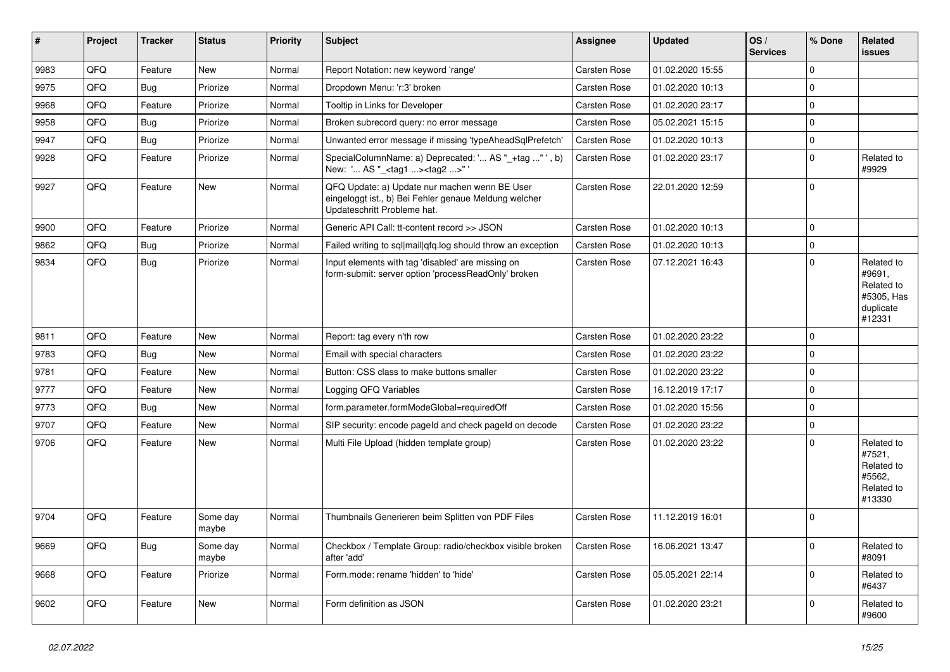| ∥#   | Project | <b>Tracker</b> | <b>Status</b>     | Priority | <b>Subject</b>                                                                                                                        | <b>Assignee</b>     | <b>Updated</b>   | OS/<br><b>Services</b> | % Done      | Related<br><b>issues</b>                                                |
|------|---------|----------------|-------------------|----------|---------------------------------------------------------------------------------------------------------------------------------------|---------------------|------------------|------------------------|-------------|-------------------------------------------------------------------------|
| 9983 | QFQ     | Feature        | <b>New</b>        | Normal   | Report Notation: new keyword 'range'                                                                                                  | <b>Carsten Rose</b> | 01.02.2020 15:55 |                        | $\mathbf 0$ |                                                                         |
| 9975 | QFQ     | Bug            | Priorize          | Normal   | Dropdown Menu: 'r:3' broken                                                                                                           | Carsten Rose        | 01.02.2020 10:13 |                        | $\mathbf 0$ |                                                                         |
| 9968 | QFQ     | Feature        | Priorize          | Normal   | Tooltip in Links for Developer                                                                                                        | <b>Carsten Rose</b> | 01.02.2020 23:17 |                        | $\mathbf 0$ |                                                                         |
| 9958 | QFQ     | Bug            | Priorize          | Normal   | Broken subrecord query: no error message                                                                                              | <b>Carsten Rose</b> | 05.02.2021 15:15 |                        | $\mathbf 0$ |                                                                         |
| 9947 | QFQ     | Bug            | Priorize          | Normal   | Unwanted error message if missing 'typeAheadSqlPrefetch'                                                                              | <b>Carsten Rose</b> | 01.02.2020 10:13 |                        | $\pmb{0}$   |                                                                         |
| 9928 | QFQ     | Feature        | Priorize          | Normal   | SpecialColumnName: a) Deprecated: ' AS "_+tag " ', b)<br>New: ' AS "_ <tag1><tag2>"</tag2></tag1>                                     | <b>Carsten Rose</b> | 01.02.2020 23:17 |                        | $\Omega$    | Related to<br>#9929                                                     |
| 9927 | QFQ     | Feature        | <b>New</b>        | Normal   | QFQ Update: a) Update nur machen wenn BE User<br>eingeloggt ist., b) Bei Fehler genaue Meldung welcher<br>Updateschritt Probleme hat. | Carsten Rose        | 22.01.2020 12:59 |                        | $\mathbf 0$ |                                                                         |
| 9900 | QFQ     | Feature        | Priorize          | Normal   | Generic API Call: tt-content record >> JSON                                                                                           | <b>Carsten Rose</b> | 01.02.2020 10:13 |                        | $\mathsf 0$ |                                                                         |
| 9862 | QFQ     | <b>Bug</b>     | Priorize          | Normal   | Failed writing to sql mail qfq.log should throw an exception                                                                          | <b>Carsten Rose</b> | 01.02.2020 10:13 |                        | $\mathbf 0$ |                                                                         |
| 9834 | QFQ     | Bug            | Priorize          | Normal   | Input elements with tag 'disabled' are missing on<br>form-submit: server option 'processReadOnly' broken                              | Carsten Rose        | 07.12.2021 16:43 |                        | $\mathbf 0$ | Related to<br>#9691,<br>Related to<br>#5305, Has<br>duplicate<br>#12331 |
| 9811 | QFQ     | Feature        | <b>New</b>        | Normal   | Report: tag every n'th row                                                                                                            | Carsten Rose        | 01.02.2020 23:22 |                        | $\Omega$    |                                                                         |
| 9783 | QFQ     | Bug            | <b>New</b>        | Normal   | Email with special characters                                                                                                         | Carsten Rose        | 01.02.2020 23:22 |                        | $\mathbf 0$ |                                                                         |
| 9781 | QFQ     | Feature        | <b>New</b>        | Normal   | Button: CSS class to make buttons smaller                                                                                             | <b>Carsten Rose</b> | 01.02.2020 23:22 |                        | $\mathbf 0$ |                                                                         |
| 9777 | QFQ     | Feature        | New               | Normal   | Logging QFQ Variables                                                                                                                 | Carsten Rose        | 16.12.2019 17:17 |                        | $\mathbf 0$ |                                                                         |
| 9773 | QFQ     | Bug            | <b>New</b>        | Normal   | form.parameter.formModeGlobal=requiredOff                                                                                             | Carsten Rose        | 01.02.2020 15:56 |                        | $\mathbf 0$ |                                                                         |
| 9707 | QFQ     | Feature        | New               | Normal   | SIP security: encode pageld and check pageld on decode                                                                                | Carsten Rose        | 01.02.2020 23:22 |                        | $\mathsf 0$ |                                                                         |
| 9706 | QFQ     | Feature        | New               | Normal   | Multi File Upload (hidden template group)                                                                                             | Carsten Rose        | 01.02.2020 23:22 |                        | $\mathbf 0$ | Related to<br>#7521,<br>Related to<br>#5562.<br>Related to<br>#13330    |
| 9704 | QFQ     | Feature        | Some day<br>maybe | Normal   | Thumbnails Generieren beim Splitten von PDF Files                                                                                     | Carsten Rose        | 11.12.2019 16:01 |                        | $\mathbf 0$ |                                                                         |
| 9669 | QFQ     | <b>Bug</b>     | Some day<br>maybe | Normal   | Checkbox / Template Group: radio/checkbox visible broken<br>after 'add'                                                               | Carsten Rose        | 16.06.2021 13:47 |                        | $\mathbf 0$ | Related to<br>#8091                                                     |
| 9668 | QFQ     | Feature        | Priorize          | Normal   | Form.mode: rename 'hidden' to 'hide'                                                                                                  | Carsten Rose        | 05.05.2021 22:14 |                        | $\mathsf 0$ | Related to<br>#6437                                                     |
| 9602 | QFQ     | Feature        | <b>New</b>        | Normal   | Form definition as JSON                                                                                                               | Carsten Rose        | 01.02.2020 23:21 |                        | $\Omega$    | Related to<br>#9600                                                     |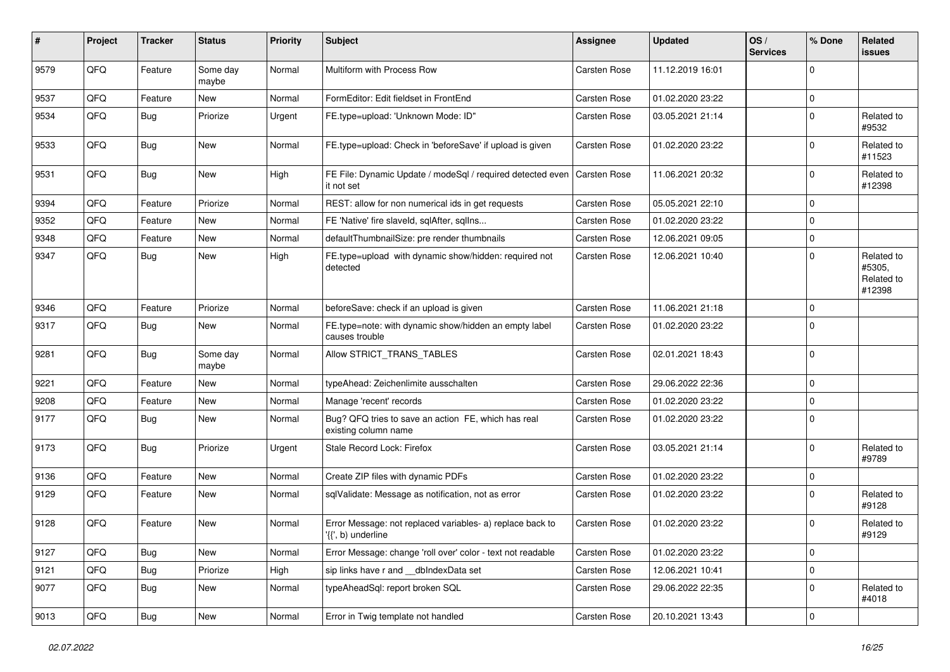| #    | Project | <b>Tracker</b> | <b>Status</b>     | <b>Priority</b> | <b>Subject</b>                                                                  | <b>Assignee</b>     | <b>Updated</b>   | OS/<br><b>Services</b> | % Done      | Related<br>issues                            |
|------|---------|----------------|-------------------|-----------------|---------------------------------------------------------------------------------|---------------------|------------------|------------------------|-------------|----------------------------------------------|
| 9579 | QFQ     | Feature        | Some day<br>maybe | Normal          | Multiform with Process Row                                                      | <b>Carsten Rose</b> | 11.12.2019 16:01 |                        | $\Omega$    |                                              |
| 9537 | QFQ     | Feature        | New               | Normal          | FormEditor: Edit fieldset in FrontEnd                                           | <b>Carsten Rose</b> | 01.02.2020 23:22 |                        | $\mathbf 0$ |                                              |
| 9534 | QFQ     | Bug            | Priorize          | Urgent          | FE.type=upload: 'Unknown Mode: ID"                                              | <b>Carsten Rose</b> | 03.05.2021 21:14 |                        | $\Omega$    | Related to<br>#9532                          |
| 9533 | QFQ     | <b>Bug</b>     | <b>New</b>        | Normal          | FE.type=upload: Check in 'beforeSave' if upload is given                        | <b>Carsten Rose</b> | 01.02.2020 23:22 |                        | $\Omega$    | Related to<br>#11523                         |
| 9531 | QFQ     | Bug            | <b>New</b>        | High            | FE File: Dynamic Update / modeSql / required detected even<br>it not set        | <b>Carsten Rose</b> | 11.06.2021 20:32 |                        | $\Omega$    | Related to<br>#12398                         |
| 9394 | QFQ     | Feature        | Priorize          | Normal          | REST: allow for non numerical ids in get requests                               | Carsten Rose        | 05.05.2021 22:10 |                        | $\mathbf 0$ |                                              |
| 9352 | QFQ     | Feature        | New               | Normal          | FE 'Native' fire slaveld, sqlAfter, sqllns                                      | Carsten Rose        | 01.02.2020 23:22 |                        | $\Omega$    |                                              |
| 9348 | QFQ     | Feature        | <b>New</b>        | Normal          | defaultThumbnailSize: pre render thumbnails                                     | <b>Carsten Rose</b> | 12.06.2021 09:05 |                        | $\Omega$    |                                              |
| 9347 | QFQ     | Bug            | <b>New</b>        | High            | FE.type=upload with dynamic show/hidden: required not<br>detected               | Carsten Rose        | 12.06.2021 10:40 |                        | $\Omega$    | Related to<br>#5305,<br>Related to<br>#12398 |
| 9346 | QFQ     | Feature        | Priorize          | Normal          | beforeSave: check if an upload is given                                         | <b>Carsten Rose</b> | 11.06.2021 21:18 |                        | $\mathbf 0$ |                                              |
| 9317 | QFQ     | Bug            | <b>New</b>        | Normal          | FE.type=note: with dynamic show/hidden an empty label<br>causes trouble         | Carsten Rose        | 01.02.2020 23:22 |                        | $\mathbf 0$ |                                              |
| 9281 | QFQ     | <b>Bug</b>     | Some day<br>maybe | Normal          | Allow STRICT_TRANS_TABLES                                                       | <b>Carsten Rose</b> | 02.01.2021 18:43 |                        | $\mathbf 0$ |                                              |
| 9221 | QFQ     | Feature        | <b>New</b>        | Normal          | typeAhead: Zeichenlimite ausschalten                                            | <b>Carsten Rose</b> | 29.06.2022 22:36 |                        | $\mathbf 0$ |                                              |
| 9208 | QFQ     | Feature        | <b>New</b>        | Normal          | Manage 'recent' records                                                         | <b>Carsten Rose</b> | 01.02.2020 23:22 |                        | $\Omega$    |                                              |
| 9177 | QFQ     | Bug            | New               | Normal          | Bug? QFQ tries to save an action FE, which has real<br>existing column name     | Carsten Rose        | 01.02.2020 23:22 |                        | $\Omega$    |                                              |
| 9173 | QFQ     | Bug            | Priorize          | Urgent          | Stale Record Lock: Firefox                                                      | <b>Carsten Rose</b> | 03.05.2021 21:14 |                        | $\Omega$    | Related to<br>#9789                          |
| 9136 | QFQ     | Feature        | <b>New</b>        | Normal          | Create ZIP files with dynamic PDFs                                              | <b>Carsten Rose</b> | 01.02.2020 23:22 |                        | $\Omega$    |                                              |
| 9129 | QFQ     | Feature        | <b>New</b>        | Normal          | sqlValidate: Message as notification, not as error                              | Carsten Rose        | 01.02.2020 23:22 |                        | $\Omega$    | Related to<br>#9128                          |
| 9128 | QFQ     | Feature        | <b>New</b>        | Normal          | Error Message: not replaced variables- a) replace back to<br>'{{', b) underline | Carsten Rose        | 01.02.2020 23:22 |                        | $\mathbf 0$ | Related to<br>#9129                          |
| 9127 | QFQ     | Bug            | New               | Normal          | Error Message: change 'roll over' color - text not readable                     | Carsten Rose        | 01.02.2020 23:22 |                        | 0           |                                              |
| 9121 | QFQ     | <b>Bug</b>     | Priorize          | High            | sip links have r and __dbIndexData set                                          | Carsten Rose        | 12.06.2021 10:41 |                        | $\mathbf 0$ |                                              |
| 9077 | QFQ     | <b>Bug</b>     | New               | Normal          | typeAheadSql: report broken SQL                                                 | Carsten Rose        | 29.06.2022 22:35 |                        | 0           | Related to<br>#4018                          |
| 9013 | QFG     | Bug            | New               | Normal          | Error in Twig template not handled                                              | Carsten Rose        | 20.10.2021 13:43 |                        | $\mathbf 0$ |                                              |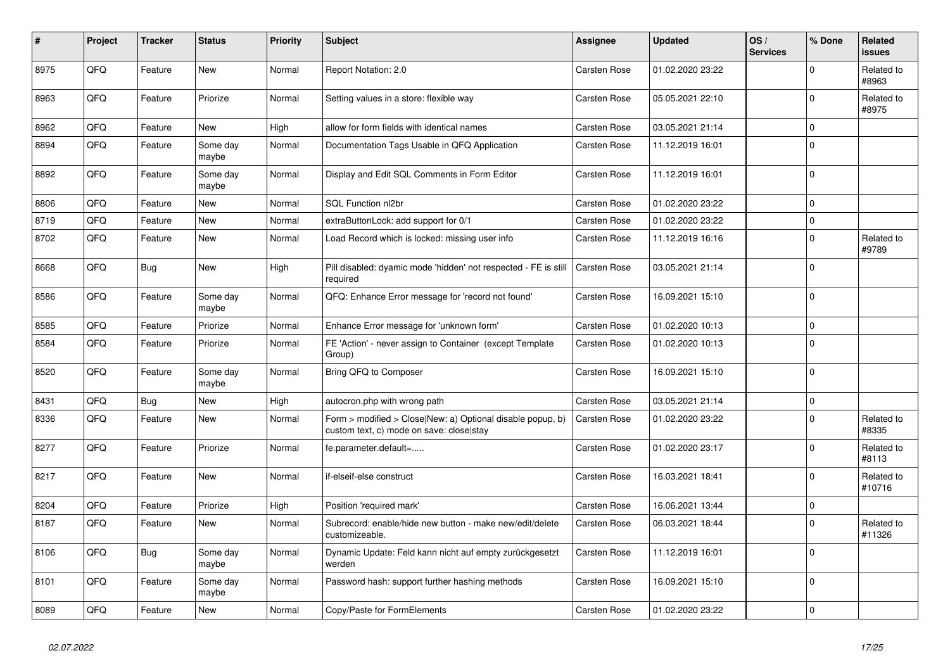| #    | Project | <b>Tracker</b> | <b>Status</b>     | <b>Priority</b> | <b>Subject</b>                                                                                         | Assignee            | <b>Updated</b>   | OS/<br><b>Services</b> | % Done      | Related<br>issues    |
|------|---------|----------------|-------------------|-----------------|--------------------------------------------------------------------------------------------------------|---------------------|------------------|------------------------|-------------|----------------------|
| 8975 | QFQ     | Feature        | <b>New</b>        | Normal          | Report Notation: 2.0                                                                                   | <b>Carsten Rose</b> | 01.02.2020 23:22 |                        | $\Omega$    | Related to<br>#8963  |
| 8963 | QFQ     | Feature        | Priorize          | Normal          | Setting values in a store: flexible way                                                                | <b>Carsten Rose</b> | 05.05.2021 22:10 |                        | $\Omega$    | Related to<br>#8975  |
| 8962 | QFQ     | Feature        | <b>New</b>        | High            | allow for form fields with identical names                                                             | Carsten Rose        | 03.05.2021 21:14 |                        | $\mathbf 0$ |                      |
| 8894 | QFQ     | Feature        | Some day<br>maybe | Normal          | Documentation Tags Usable in QFQ Application                                                           | Carsten Rose        | 11.12.2019 16:01 |                        | $\Omega$    |                      |
| 8892 | QFQ     | Feature        | Some day<br>maybe | Normal          | Display and Edit SQL Comments in Form Editor                                                           | <b>Carsten Rose</b> | 11.12.2019 16:01 |                        | $\Omega$    |                      |
| 8806 | QFQ     | Feature        | <b>New</b>        | Normal          | SQL Function nl2br                                                                                     | <b>Carsten Rose</b> | 01.02.2020 23:22 |                        | $\Omega$    |                      |
| 8719 | QFQ     | Feature        | New               | Normal          | extraButtonLock: add support for 0/1                                                                   | Carsten Rose        | 01.02.2020 23:22 |                        | 0           |                      |
| 8702 | QFQ     | Feature        | <b>New</b>        | Normal          | Load Record which is locked: missing user info                                                         | Carsten Rose        | 11.12.2019 16:16 |                        | $\Omega$    | Related to<br>#9789  |
| 8668 | QFQ     | Bug            | New               | High            | Pill disabled: dyamic mode 'hidden' not respected - FE is still<br>required                            | <b>Carsten Rose</b> | 03.05.2021 21:14 |                        | $\Omega$    |                      |
| 8586 | QFQ     | Feature        | Some day<br>maybe | Normal          | QFQ: Enhance Error message for 'record not found'                                                      | Carsten Rose        | 16.09.2021 15:10 |                        | $\mathbf 0$ |                      |
| 8585 | QFQ     | Feature        | Priorize          | Normal          | Enhance Error message for 'unknown form'                                                               | <b>Carsten Rose</b> | 01.02.2020 10:13 |                        | $\Omega$    |                      |
| 8584 | QFQ     | Feature        | Priorize          | Normal          | FE 'Action' - never assign to Container (except Template)<br>Group)                                    | Carsten Rose        | 01.02.2020 10:13 |                        | $\Omega$    |                      |
| 8520 | QFQ     | Feature        | Some day<br>maybe | Normal          | Bring QFQ to Composer                                                                                  | Carsten Rose        | 16.09.2021 15:10 |                        | $\Omega$    |                      |
| 8431 | QFQ     | <b>Bug</b>     | New               | High            | autocron.php with wrong path                                                                           | <b>Carsten Rose</b> | 03.05.2021 21:14 |                        | $\Omega$    |                      |
| 8336 | QFQ     | Feature        | New               | Normal          | Form > modified > Close New: a) Optional disable popup, b)<br>custom text, c) mode on save: close stay | <b>Carsten Rose</b> | 01.02.2020 23:22 |                        | $\Omega$    | Related to<br>#8335  |
| 8277 | QFQ     | Feature        | Priorize          | Normal          | fe.parameter.default=                                                                                  | Carsten Rose        | 01.02.2020 23:17 |                        | $\Omega$    | Related to<br>#8113  |
| 8217 | QFQ     | Feature        | <b>New</b>        | Normal          | if-elseif-else construct                                                                               | <b>Carsten Rose</b> | 16.03.2021 18:41 |                        | $\Omega$    | Related to<br>#10716 |
| 8204 | QFQ     | Feature        | Priorize          | High            | Position 'required mark'                                                                               | Carsten Rose        | 16.06.2021 13:44 |                        | $\mathbf 0$ |                      |
| 8187 | QFQ     | Feature        | New               | Normal          | Subrecord: enable/hide new button - make new/edit/delete<br>customizeable.                             | <b>Carsten Rose</b> | 06.03.2021 18:44 |                        | $\Omega$    | Related to<br>#11326 |
| 8106 | QFQ     | Bug            | Some day<br>maybe | Normal          | Dynamic Update: Feld kann nicht auf empty zurückgesetzt<br>werden                                      | Carsten Rose        | 11.12.2019 16:01 |                        | $\Omega$    |                      |
| 8101 | QFQ     | Feature        | Some day<br>maybe | Normal          | Password hash: support further hashing methods                                                         | Carsten Rose        | 16.09.2021 15:10 |                        | $\Omega$    |                      |
| 8089 | QFQ     | Feature        | <b>New</b>        | Normal          | Copy/Paste for FormElements                                                                            | Carsten Rose        | 01.02.2020 23:22 |                        | $\Omega$    |                      |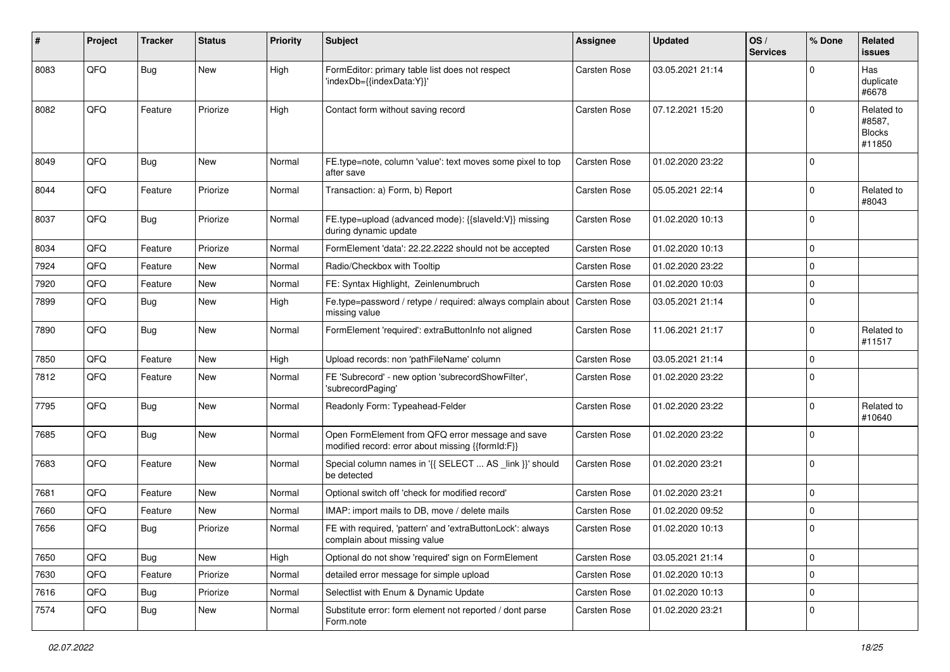| #    | Project | <b>Tracker</b> | <b>Status</b> | <b>Priority</b> | <b>Subject</b>                                                                                        | <b>Assignee</b>     | <b>Updated</b>   | OS/<br><b>Services</b> | % Done      | <b>Related</b><br><b>issues</b>                 |
|------|---------|----------------|---------------|-----------------|-------------------------------------------------------------------------------------------------------|---------------------|------------------|------------------------|-------------|-------------------------------------------------|
| 8083 | QFQ     | <b>Bug</b>     | New           | High            | FormEditor: primary table list does not respect<br>'indexDb={{indexData:Y}}'                          | Carsten Rose        | 03.05.2021 21:14 |                        | $\Omega$    | Has<br>duplicate<br>#6678                       |
| 8082 | QFQ     | Feature        | Priorize      | High            | Contact form without saving record                                                                    | Carsten Rose        | 07.12.2021 15:20 |                        | $\Omega$    | Related to<br>#8587,<br><b>Blocks</b><br>#11850 |
| 8049 | QFQ     | <b>Bug</b>     | <b>New</b>    | Normal          | FE.type=note, column 'value': text moves some pixel to top<br>after save                              | Carsten Rose        | 01.02.2020 23:22 |                        | $\Omega$    |                                                 |
| 8044 | QFQ     | Feature        | Priorize      | Normal          | Transaction: a) Form, b) Report                                                                       | Carsten Rose        | 05.05.2021 22:14 |                        | $\Omega$    | Related to<br>#8043                             |
| 8037 | QFQ     | <b>Bug</b>     | Priorize      | Normal          | FE.type=upload (advanced mode): {{slaveld:V}} missing<br>during dynamic update                        | Carsten Rose        | 01.02.2020 10:13 |                        | $\Omega$    |                                                 |
| 8034 | QFQ     | Feature        | Priorize      | Normal          | FormElement 'data': 22.22.2222 should not be accepted                                                 | Carsten Rose        | 01.02.2020 10:13 |                        | $\mathbf 0$ |                                                 |
| 7924 | QFQ     | Feature        | <b>New</b>    | Normal          | Radio/Checkbox with Tooltip                                                                           | Carsten Rose        | 01.02.2020 23:22 |                        | $\Omega$    |                                                 |
| 7920 | QFQ     | Feature        | <b>New</b>    | Normal          | FE: Syntax Highlight, Zeinlenumbruch                                                                  | Carsten Rose        | 01.02.2020 10:03 |                        | $\Omega$    |                                                 |
| 7899 | QFQ     | <b>Bug</b>     | <b>New</b>    | High            | Fe.type=password / retype / required: always complain about<br>missing value                          | <b>Carsten Rose</b> | 03.05.2021 21:14 |                        | $\Omega$    |                                                 |
| 7890 | QFQ     | <b>Bug</b>     | <b>New</b>    | Normal          | FormElement 'required': extraButtonInfo not aligned                                                   | <b>Carsten Rose</b> | 11.06.2021 21:17 |                        | $\Omega$    | Related to<br>#11517                            |
| 7850 | QFQ     | Feature        | <b>New</b>    | High            | Upload records: non 'pathFileName' column                                                             | Carsten Rose        | 03.05.2021 21:14 |                        | $\mathbf 0$ |                                                 |
| 7812 | QFQ     | Feature        | <b>New</b>    | Normal          | FE 'Subrecord' - new option 'subrecordShowFilter',<br>'subrecordPaging'                               | Carsten Rose        | 01.02.2020 23:22 |                        | $\Omega$    |                                                 |
| 7795 | QFQ     | Bug            | <b>New</b>    | Normal          | Readonly Form: Typeahead-Felder                                                                       | Carsten Rose        | 01.02.2020 23:22 |                        | $\Omega$    | Related to<br>#10640                            |
| 7685 | QFQ     | <b>Bug</b>     | <b>New</b>    | Normal          | Open FormElement from QFQ error message and save<br>modified record: error about missing {{formId:F}} | Carsten Rose        | 01.02.2020 23:22 |                        | $\Omega$    |                                                 |
| 7683 | QFQ     | Feature        | <b>New</b>    | Normal          | Special column names in '{{ SELECT  AS _link }}' should<br>be detected                                | Carsten Rose        | 01.02.2020 23:21 |                        | $\Omega$    |                                                 |
| 7681 | QFQ     | Feature        | <b>New</b>    | Normal          | Optional switch off 'check for modified record'                                                       | <b>Carsten Rose</b> | 01.02.2020 23:21 |                        | $\Omega$    |                                                 |
| 7660 | QFQ     | Feature        | <b>New</b>    | Normal          | IMAP: import mails to DB, move / delete mails                                                         | Carsten Rose        | 01.02.2020 09:52 |                        | 0           |                                                 |
| 7656 | QFQ     | <b>Bug</b>     | Priorize      | Normal          | FE with required, 'pattern' and 'extraButtonLock': always<br>complain about missing value             | Carsten Rose        | 01.02.2020 10:13 |                        | $\Omega$    |                                                 |
| 7650 | QFQ     | Bug            | New           | High            | Optional do not show 'required' sign on FormElement                                                   | Carsten Rose        | 03.05.2021 21:14 |                        | $\mathbf 0$ |                                                 |
| 7630 | QFQ     | Feature        | Priorize      | Normal          | detailed error message for simple upload                                                              | Carsten Rose        | 01.02.2020 10:13 |                        | $\mathbf 0$ |                                                 |
| 7616 | QFQ     | Bug            | Priorize      | Normal          | Selectlist with Enum & Dynamic Update                                                                 | Carsten Rose        | 01.02.2020 10:13 |                        | $\mathbf 0$ |                                                 |
| 7574 | QFQ     | <b>Bug</b>     | New           | Normal          | Substitute error: form element not reported / dont parse<br>Form.note                                 | Carsten Rose        | 01.02.2020 23:21 |                        | 0           |                                                 |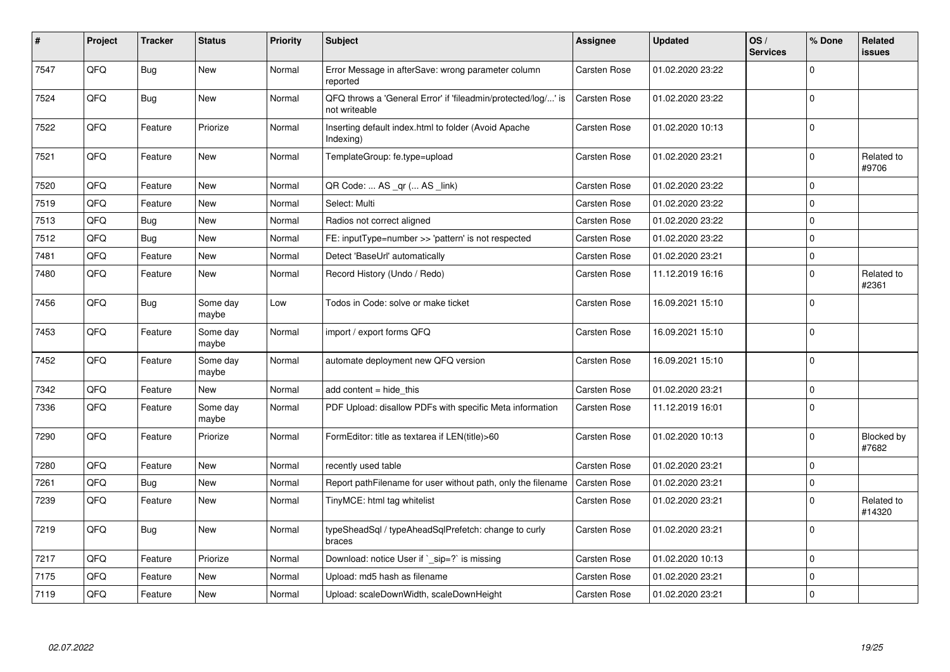| #    | Project | <b>Tracker</b> | <b>Status</b>     | <b>Priority</b> | <b>Subject</b>                                                                 | <b>Assignee</b>     | <b>Updated</b>   | OS/<br><b>Services</b> | % Done      | Related<br><b>issues</b> |
|------|---------|----------------|-------------------|-----------------|--------------------------------------------------------------------------------|---------------------|------------------|------------------------|-------------|--------------------------|
| 7547 | QFQ     | Bug            | <b>New</b>        | Normal          | Error Message in afterSave: wrong parameter column<br>reported                 | Carsten Rose        | 01.02.2020 23:22 |                        | $\Omega$    |                          |
| 7524 | QFQ     | Bug            | <b>New</b>        | Normal          | QFQ throws a 'General Error' if 'fileadmin/protected/log/' is<br>not writeable | <b>Carsten Rose</b> | 01.02.2020 23:22 |                        | $\Omega$    |                          |
| 7522 | QFQ     | Feature        | Priorize          | Normal          | Inserting default index.html to folder (Avoid Apache<br>Indexing)              | Carsten Rose        | 01.02.2020 10:13 |                        | $\Omega$    |                          |
| 7521 | QFQ     | Feature        | <b>New</b>        | Normal          | TemplateGroup: fe.type=upload                                                  | Carsten Rose        | 01.02.2020 23:21 |                        | $\mathbf 0$ | Related to<br>#9706      |
| 7520 | QFQ     | Feature        | New               | Normal          | QR Code:  AS _qr ( AS _link)                                                   | Carsten Rose        | 01.02.2020 23:22 |                        | $\mathbf 0$ |                          |
| 7519 | QFQ     | Feature        | <b>New</b>        | Normal          | Select: Multi                                                                  | Carsten Rose        | 01.02.2020 23:22 |                        | $\Omega$    |                          |
| 7513 | QFQ     | <b>Bug</b>     | <b>New</b>        | Normal          | Radios not correct aligned                                                     | Carsten Rose        | 01.02.2020 23:22 |                        | $\Omega$    |                          |
| 7512 | QFQ     | Bug            | <b>New</b>        | Normal          | FE: inputType=number >> 'pattern' is not respected                             | Carsten Rose        | 01.02.2020 23:22 |                        | $\Omega$    |                          |
| 7481 | QFQ     | Feature        | New               | Normal          | Detect 'BaseUrl' automatically                                                 | Carsten Rose        | 01.02.2020 23:21 |                        | $\mathbf 0$ |                          |
| 7480 | QFQ     | Feature        | New               | Normal          | Record History (Undo / Redo)                                                   | <b>Carsten Rose</b> | 11.12.2019 16:16 |                        | $\Omega$    | Related to<br>#2361      |
| 7456 | QFQ     | Bug            | Some day<br>maybe | Low             | Todos in Code: solve or make ticket                                            | Carsten Rose        | 16.09.2021 15:10 |                        | $\mathbf 0$ |                          |
| 7453 | QFQ     | Feature        | Some day<br>maybe | Normal          | import / export forms QFQ                                                      | Carsten Rose        | 16.09.2021 15:10 |                        | $\Omega$    |                          |
| 7452 | QFQ     | Feature        | Some day<br>maybe | Normal          | automate deployment new QFQ version                                            | Carsten Rose        | 16.09.2021 15:10 |                        | $\Omega$    |                          |
| 7342 | QFQ     | Feature        | <b>New</b>        | Normal          | add content = hide this                                                        | Carsten Rose        | 01.02.2020 23:21 |                        | $\Omega$    |                          |
| 7336 | QFQ     | Feature        | Some day<br>maybe | Normal          | PDF Upload: disallow PDFs with specific Meta information                       | Carsten Rose        | 11.12.2019 16:01 |                        | $\Omega$    |                          |
| 7290 | QFQ     | Feature        | Priorize          | Normal          | FormEditor: title as textarea if LEN(title)>60                                 | Carsten Rose        | 01.02.2020 10:13 |                        | $\Omega$    | Blocked by<br>#7682      |
| 7280 | QFQ     | Feature        | <b>New</b>        | Normal          | recently used table                                                            | Carsten Rose        | 01.02.2020 23:21 |                        | $\mathbf 0$ |                          |
| 7261 | QFQ     | Bug            | New               | Normal          | Report pathFilename for user without path, only the filename                   | <b>Carsten Rose</b> | 01.02.2020 23:21 |                        | 0           |                          |
| 7239 | QFQ     | Feature        | New               | Normal          | TinyMCE: html tag whitelist                                                    | Carsten Rose        | 01.02.2020 23:21 |                        | $\Omega$    | Related to<br>#14320     |
| 7219 | QFQ     | Bug            | <b>New</b>        | Normal          | typeSheadSql / typeAheadSqlPrefetch: change to curly<br>braces                 | Carsten Rose        | 01.02.2020 23:21 |                        | $\Omega$    |                          |
| 7217 | QFQ     | Feature        | Priorize          | Normal          | Download: notice User if ` sip=?` is missing                                   | Carsten Rose        | 01.02.2020 10:13 |                        | $\Omega$    |                          |
| 7175 | QFQ     | Feature        | New               | Normal          | Upload: md5 hash as filename                                                   | Carsten Rose        | 01.02.2020 23:21 |                        | $\mathbf 0$ |                          |
| 7119 | QFQ     | Feature        | New               | Normal          | Upload: scaleDownWidth, scaleDownHeight                                        | Carsten Rose        | 01.02.2020 23:21 |                        | $\Omega$    |                          |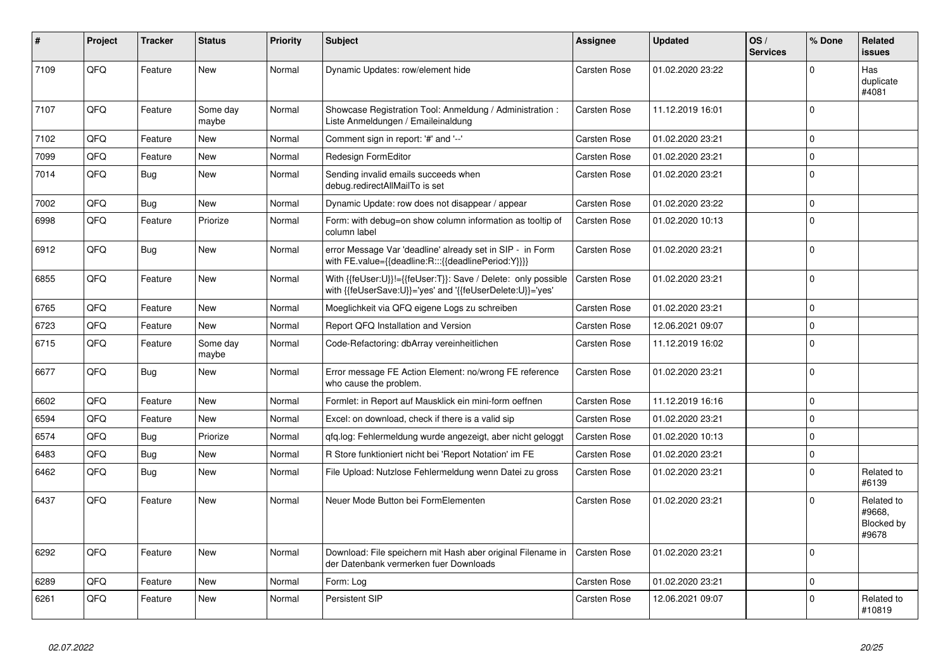| #    | Project | <b>Tracker</b> | <b>Status</b>     | <b>Priority</b> | <b>Subject</b>                                                                                                             | Assignee            | <b>Updated</b>   | OS/<br><b>Services</b> | % Done      | Related<br><b>issues</b>                    |
|------|---------|----------------|-------------------|-----------------|----------------------------------------------------------------------------------------------------------------------------|---------------------|------------------|------------------------|-------------|---------------------------------------------|
| 7109 | QFQ     | Feature        | <b>New</b>        | Normal          | Dynamic Updates: row/element hide                                                                                          | <b>Carsten Rose</b> | 01.02.2020 23:22 |                        | $\Omega$    | Has<br>duplicate<br>#4081                   |
| 7107 | QFQ     | Feature        | Some day<br>maybe | Normal          | Showcase Registration Tool: Anmeldung / Administration :<br>Liste Anmeldungen / Emaileinaldung                             | <b>Carsten Rose</b> | 11.12.2019 16:01 |                        | $\Omega$    |                                             |
| 7102 | QFQ     | Feature        | <b>New</b>        | Normal          | Comment sign in report: '#' and '--'                                                                                       | Carsten Rose        | 01.02.2020 23:21 |                        | $\Omega$    |                                             |
| 7099 | QFQ     | Feature        | New               | Normal          | Redesign FormEditor                                                                                                        | <b>Carsten Rose</b> | 01.02.2020 23:21 |                        | $\Omega$    |                                             |
| 7014 | QFQ     | Bug            | New               | Normal          | Sending invalid emails succeeds when<br>debug.redirectAllMailTo is set                                                     | <b>Carsten Rose</b> | 01.02.2020 23:21 |                        | $\Omega$    |                                             |
| 7002 | QFQ     | Bug            | <b>New</b>        | Normal          | Dynamic Update: row does not disappear / appear                                                                            | <b>Carsten Rose</b> | 01.02.2020 23:22 |                        | $\Omega$    |                                             |
| 6998 | QFQ     | Feature        | Priorize          | Normal          | Form: with debug=on show column information as tooltip of<br>column label                                                  | <b>Carsten Rose</b> | 01.02.2020 10:13 |                        | $\Omega$    |                                             |
| 6912 | QFQ     | Bug            | <b>New</b>        | Normal          | error Message Var 'deadline' already set in SIP - in Form<br>with FE.value={{deadline:R:::{{deadlinePeriod:Y}}}}           | <b>Carsten Rose</b> | 01.02.2020 23:21 |                        | $\Omega$    |                                             |
| 6855 | QFQ     | Feature        | <b>New</b>        | Normal          | With {{feUser:U}}!={{feUser:T}}: Save / Delete: only possible<br>with {{feUserSave:U}}='yes' and '{{feUserDelete:U}}='yes' | <b>Carsten Rose</b> | 01.02.2020 23:21 |                        | $\Omega$    |                                             |
| 6765 | QFQ     | Feature        | New               | Normal          | Moeglichkeit via QFQ eigene Logs zu schreiben                                                                              | Carsten Rose        | 01.02.2020 23:21 |                        | $\mathbf 0$ |                                             |
| 6723 | QFQ     | Feature        | New               | Normal          | Report QFQ Installation and Version                                                                                        | Carsten Rose        | 12.06.2021 09:07 |                        | $\Omega$    |                                             |
| 6715 | QFQ     | Feature        | Some day<br>maybe | Normal          | Code-Refactoring: dbArray vereinheitlichen                                                                                 | <b>Carsten Rose</b> | 11.12.2019 16:02 |                        | $\Omega$    |                                             |
| 6677 | QFQ     | Bug            | New               | Normal          | Error message FE Action Element: no/wrong FE reference<br>who cause the problem.                                           | Carsten Rose        | 01.02.2020 23:21 |                        | $\Omega$    |                                             |
| 6602 | QFQ     | Feature        | New               | Normal          | Formlet: in Report auf Mausklick ein mini-form oeffnen                                                                     | <b>Carsten Rose</b> | 11.12.2019 16:16 |                        | $\Omega$    |                                             |
| 6594 | QFQ     | Feature        | <b>New</b>        | Normal          | Excel: on download, check if there is a valid sip                                                                          | Carsten Rose        | 01.02.2020 23:21 |                        | $\Omega$    |                                             |
| 6574 | QFQ     | <b>Bug</b>     | Priorize          | Normal          | gfg.log: Fehlermeldung wurde angezeigt, aber nicht geloggt                                                                 | <b>Carsten Rose</b> | 01.02.2020 10:13 |                        | $\Omega$    |                                             |
| 6483 | QFQ     | Bug            | <b>New</b>        | Normal          | R Store funktioniert nicht bei 'Report Notation' im FE                                                                     | <b>Carsten Rose</b> | 01.02.2020 23:21 |                        | $\Omega$    |                                             |
| 6462 | QFQ     | <b>Bug</b>     | New               | Normal          | File Upload: Nutzlose Fehlermeldung wenn Datei zu gross                                                                    | Carsten Rose        | 01.02.2020 23:21 |                        | $\Omega$    | Related to<br>#6139                         |
| 6437 | QFQ     | Feature        | New               | Normal          | Neuer Mode Button bei FormElementen                                                                                        | Carsten Rose        | 01.02.2020 23:21 |                        | $\Omega$    | Related to<br>#9668.<br>Blocked by<br>#9678 |
| 6292 | QFQ     | Feature        | <b>New</b>        | Normal          | Download: File speichern mit Hash aber original Filename in<br>der Datenbank vermerken fuer Downloads                      | <b>Carsten Rose</b> | 01.02.2020 23:21 |                        | $\Omega$    |                                             |
| 6289 | QFQ     | Feature        | New               | Normal          | Form: Log                                                                                                                  | <b>Carsten Rose</b> | 01.02.2020 23:21 |                        | $\Omega$    |                                             |
| 6261 | QFQ     | Feature        | <b>New</b>        | Normal          | Persistent SIP                                                                                                             | Carsten Rose        | 12.06.2021 09:07 |                        | $\Omega$    | Related to<br>#10819                        |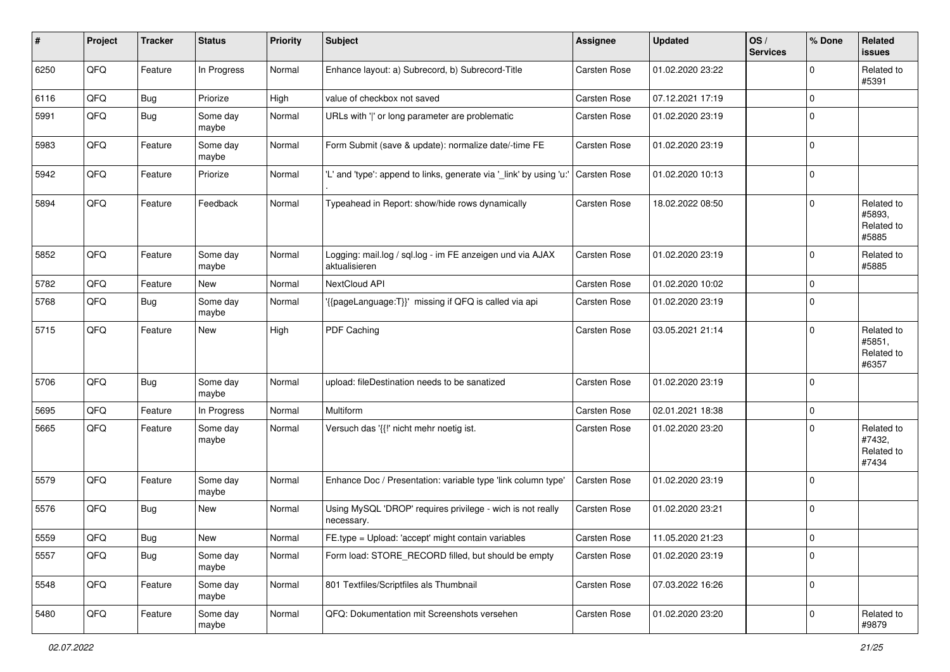| ∦    | Project        | <b>Tracker</b> | <b>Status</b>     | <b>Priority</b> | <b>Subject</b>                                                             | Assignee            | <b>Updated</b>   | OS/<br><b>Services</b> | % Done      | Related<br><b>issues</b>                    |
|------|----------------|----------------|-------------------|-----------------|----------------------------------------------------------------------------|---------------------|------------------|------------------------|-------------|---------------------------------------------|
| 6250 | QFQ            | Feature        | In Progress       | Normal          | Enhance layout: a) Subrecord, b) Subrecord-Title                           | <b>Carsten Rose</b> | 01.02.2020 23:22 |                        | $\mathbf 0$ | Related to<br>#5391                         |
| 6116 | QFQ            | <b>Bug</b>     | Priorize          | High            | value of checkbox not saved                                                | Carsten Rose        | 07.12.2021 17:19 |                        | $\mathbf 0$ |                                             |
| 5991 | QFQ            | Bug            | Some day<br>maybe | Normal          | URLs with ' ' or long parameter are problematic                            | Carsten Rose        | 01.02.2020 23:19 |                        | $\mathbf 0$ |                                             |
| 5983 | QFQ            | Feature        | Some day<br>maybe | Normal          | Form Submit (save & update): normalize date/-time FE                       | Carsten Rose        | 01.02.2020 23:19 |                        | $\mathbf 0$ |                                             |
| 5942 | QFQ            | Feature        | Priorize          | Normal          | 'L' and 'type': append to links, generate via '_link' by using 'u:'        | Carsten Rose        | 01.02.2020 10:13 |                        | $\mathbf 0$ |                                             |
| 5894 | QFQ            | Feature        | Feedback          | Normal          | Typeahead in Report: show/hide rows dynamically                            | <b>Carsten Rose</b> | 18.02.2022 08:50 |                        | $\mathbf 0$ | Related to<br>#5893,<br>Related to<br>#5885 |
| 5852 | QFQ            | Feature        | Some day<br>maybe | Normal          | Logging: mail.log / sql.log - im FE anzeigen und via AJAX<br>aktualisieren | Carsten Rose        | 01.02.2020 23:19 |                        | $\mathbf 0$ | Related to<br>#5885                         |
| 5782 | QFQ            | Feature        | New               | Normal          | NextCloud API                                                              | Carsten Rose        | 01.02.2020 10:02 |                        | $\mathbf 0$ |                                             |
| 5768 | QFQ            | <b>Bug</b>     | Some day<br>maybe | Normal          | '{{pageLanguage:T}}' missing if QFQ is called via api                      | <b>Carsten Rose</b> | 01.02.2020 23:19 |                        | $\mathbf 0$ |                                             |
| 5715 | QFQ            | Feature        | New               | High            | PDF Caching                                                                | Carsten Rose        | 03.05.2021 21:14 |                        | $\mathbf 0$ | Related to<br>#5851,<br>Related to<br>#6357 |
| 5706 | QFQ            | Bug            | Some day<br>maybe | Normal          | upload: fileDestination needs to be sanatized                              | Carsten Rose        | 01.02.2020 23:19 |                        | $\mathbf 0$ |                                             |
| 5695 | QFQ            | Feature        | In Progress       | Normal          | Multiform                                                                  | Carsten Rose        | 02.01.2021 18:38 |                        | $\mathbf 0$ |                                             |
| 5665 | QFQ            | Feature        | Some day<br>maybe | Normal          | Versuch das '{{!' nicht mehr noetig ist.                                   | <b>Carsten Rose</b> | 01.02.2020 23:20 |                        | $\mathbf 0$ | Related to<br>#7432,<br>Related to<br>#7434 |
| 5579 | QFQ            | Feature        | Some day<br>maybe | Normal          | Enhance Doc / Presentation: variable type 'link column type'               | Carsten Rose        | 01.02.2020 23:19 |                        | $\mathbf 0$ |                                             |
| 5576 | QFQ            | Bug            | New               | Normal          | Using MySQL 'DROP' requires privilege - wich is not really<br>necessary.   | Carsten Rose        | 01.02.2020 23:21 |                        | $\mathbf 0$ |                                             |
| 5559 | $\mathsf{QFQ}$ | Bug            | New               | Normal          | FE.type = Upload: 'accept' might contain variables                         | Carsten Rose        | 11.05.2020 21:23 |                        | $\mathsf 0$ |                                             |
| 5557 | QFQ            | Bug            | Some day<br>maybe | Normal          | Form load: STORE_RECORD filled, but should be empty                        | Carsten Rose        | 01.02.2020 23:19 |                        | $\mathbf 0$ |                                             |
| 5548 | QFQ            | Feature        | Some day<br>maybe | Normal          | 801 Textfiles/Scriptfiles als Thumbnail                                    | Carsten Rose        | 07.03.2022 16:26 |                        | $\mathbf 0$ |                                             |
| 5480 | QFQ            | Feature        | Some day<br>maybe | Normal          | QFQ: Dokumentation mit Screenshots versehen                                | Carsten Rose        | 01.02.2020 23:20 |                        | $\mathbf 0$ | Related to<br>#9879                         |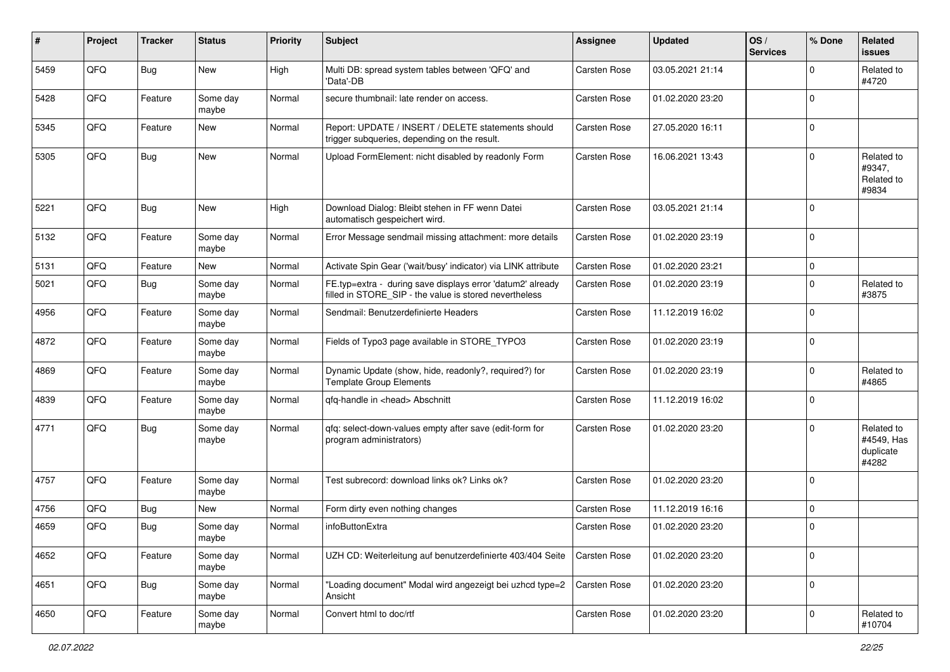| #    | Project | <b>Tracker</b> | <b>Status</b>     | <b>Priority</b> | <b>Subject</b>                                                                                                       | <b>Assignee</b>     | <b>Updated</b>   | OS/<br><b>Services</b> | % Done      | Related<br><b>issues</b>                       |
|------|---------|----------------|-------------------|-----------------|----------------------------------------------------------------------------------------------------------------------|---------------------|------------------|------------------------|-------------|------------------------------------------------|
| 5459 | QFQ     | Bug            | New               | High            | Multi DB: spread system tables between 'QFQ' and<br>'Data'-DB                                                        | Carsten Rose        | 03.05.2021 21:14 |                        | ∩           | Related to<br>#4720                            |
| 5428 | QFQ     | Feature        | Some day<br>maybe | Normal          | secure thumbnail: late render on access.                                                                             | <b>Carsten Rose</b> | 01.02.2020 23:20 |                        | $\mathbf 0$ |                                                |
| 5345 | QFQ     | Feature        | New               | Normal          | Report: UPDATE / INSERT / DELETE statements should<br>trigger subqueries, depending on the result.                   | Carsten Rose        | 27.05.2020 16:11 |                        | $\Omega$    |                                                |
| 5305 | QFQ     | Bug            | New               | Normal          | Upload FormElement: nicht disabled by readonly Form                                                                  | <b>Carsten Rose</b> | 16.06.2021 13:43 |                        | $\Omega$    | Related to<br>#9347,<br>Related to<br>#9834    |
| 5221 | QFQ     | Bug            | <b>New</b>        | High            | Download Dialog: Bleibt stehen in FF wenn Datei<br>automatisch gespeichert wird.                                     | Carsten Rose        | 03.05.2021 21:14 |                        | $\Omega$    |                                                |
| 5132 | QFQ     | Feature        | Some day<br>maybe | Normal          | Error Message sendmail missing attachment: more details                                                              | <b>Carsten Rose</b> | 01.02.2020 23:19 |                        | $\mathbf 0$ |                                                |
| 5131 | QFQ     | Feature        | New               | Normal          | Activate Spin Gear ('wait/busy' indicator) via LINK attribute                                                        | Carsten Rose        | 01.02.2020 23:21 |                        | $\mathbf 0$ |                                                |
| 5021 | QFQ     | Bug            | Some day<br>maybe | Normal          | FE.typ=extra - during save displays error 'datum2' already<br>filled in STORE_SIP - the value is stored nevertheless | <b>Carsten Rose</b> | 01.02.2020 23:19 |                        | $\Omega$    | Related to<br>#3875                            |
| 4956 | QFQ     | Feature        | Some day<br>maybe | Normal          | Sendmail: Benutzerdefinierte Headers                                                                                 | Carsten Rose        | 11.12.2019 16:02 |                        | $\Omega$    |                                                |
| 4872 | QFQ     | Feature        | Some day<br>maybe | Normal          | Fields of Typo3 page available in STORE_TYPO3                                                                        | <b>Carsten Rose</b> | 01.02.2020 23:19 |                        | 0           |                                                |
| 4869 | QFQ     | Feature        | Some day<br>maybe | Normal          | Dynamic Update (show, hide, readonly?, required?) for<br><b>Template Group Elements</b>                              | Carsten Rose        | 01.02.2020 23:19 |                        | $\Omega$    | Related to<br>#4865                            |
| 4839 | QFQ     | Feature        | Some day<br>maybe | Normal          | qfq-handle in <head> Abschnitt</head>                                                                                | <b>Carsten Rose</b> | 11.12.2019 16:02 |                        | $\Omega$    |                                                |
| 4771 | QFQ     | <b>Bug</b>     | Some day<br>maybe | Normal          | gfg: select-down-values empty after save (edit-form for<br>program administrators)                                   | <b>Carsten Rose</b> | 01.02.2020 23:20 |                        | $\Omega$    | Related to<br>#4549, Has<br>duplicate<br>#4282 |
| 4757 | QFQ     | Feature        | Some day<br>maybe | Normal          | Test subrecord: download links ok? Links ok?                                                                         | <b>Carsten Rose</b> | 01.02.2020 23:20 |                        | $\Omega$    |                                                |
| 4756 | QFQ     | Bug            | New               | Normal          | Form dirty even nothing changes                                                                                      | Carsten Rose        | 11.12.2019 16:16 |                        | $\mathbf 0$ |                                                |
| 4659 | QFQ     | <b>Bug</b>     | Some day<br>maybe | Normal          | infoButtonExtra                                                                                                      | Carsten Rose        | 01.02.2020 23:20 |                        | $\Omega$    |                                                |
| 4652 | QFQ     | Feature        | Some day<br>maybe | Normal          | UZH CD: Weiterleitung auf benutzerdefinierte 403/404 Seite                                                           | Carsten Rose        | 01.02.2020 23:20 |                        | 0           |                                                |
| 4651 | QFQ     | <b>Bug</b>     | Some day<br>maybe | Normal          | "Loading document" Modal wird angezeigt bei uzhcd type=2<br>Ansicht                                                  | Carsten Rose        | 01.02.2020 23:20 |                        | 0           |                                                |
| 4650 | QFQ     | Feature        | Some day<br>maybe | Normal          | Convert html to doc/rtf                                                                                              | Carsten Rose        | 01.02.2020 23:20 |                        | $\mathbf 0$ | Related to<br>#10704                           |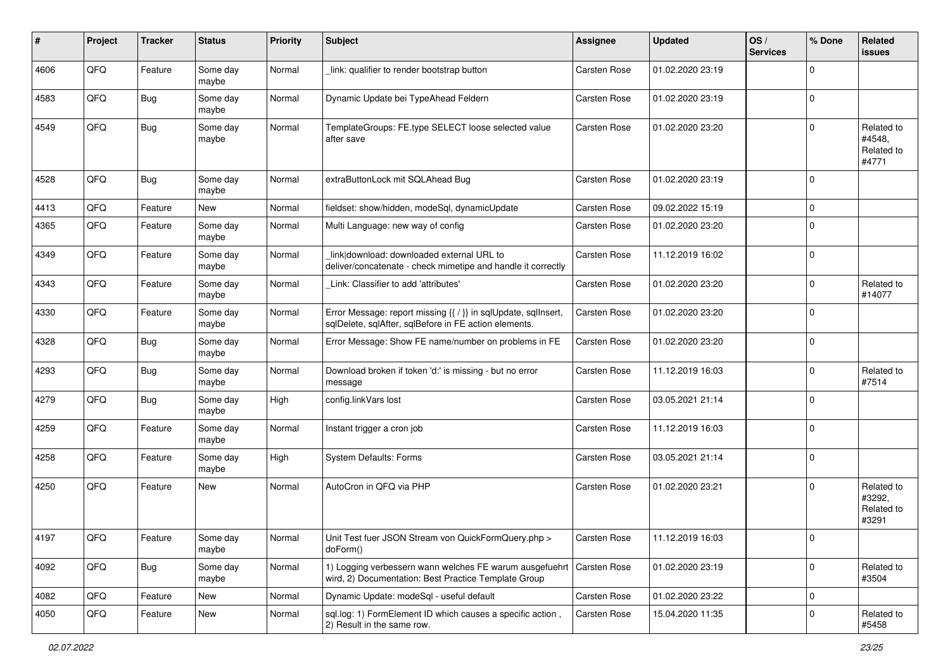| #    | Project        | <b>Tracker</b> | <b>Status</b>     | <b>Priority</b> | <b>Subject</b>                                                                                                          | <b>Assignee</b>     | <b>Updated</b>   | OS/<br><b>Services</b> | % Done      | Related<br><b>issues</b>                    |
|------|----------------|----------------|-------------------|-----------------|-------------------------------------------------------------------------------------------------------------------------|---------------------|------------------|------------------------|-------------|---------------------------------------------|
| 4606 | QFQ            | Feature        | Some day<br>maybe | Normal          | link: qualifier to render bootstrap button                                                                              | Carsten Rose        | 01.02.2020 23:19 |                        | $\Omega$    |                                             |
| 4583 | QFQ            | Bug            | Some day<br>maybe | Normal          | Dynamic Update bei TypeAhead Feldern                                                                                    | <b>Carsten Rose</b> | 01.02.2020 23:19 |                        | 0           |                                             |
| 4549 | QFQ            | Bug            | Some day<br>maybe | Normal          | TemplateGroups: FE.type SELECT loose selected value<br>after save                                                       | Carsten Rose        | 01.02.2020 23:20 |                        | $\Omega$    | Related to<br>#4548,<br>Related to<br>#4771 |
| 4528 | QFQ            | Bug            | Some day<br>maybe | Normal          | extraButtonLock mit SQLAhead Bug                                                                                        | Carsten Rose        | 01.02.2020 23:19 |                        | $\mathbf 0$ |                                             |
| 4413 | QFQ            | Feature        | New               | Normal          | fieldset: show/hidden, modeSql, dynamicUpdate                                                                           | Carsten Rose        | 09.02.2022 15:19 |                        | $\mathbf 0$ |                                             |
| 4365 | QFQ            | Feature        | Some day<br>maybe | Normal          | Multi Language: new way of config                                                                                       | Carsten Rose        | 01.02.2020 23:20 |                        | $\Omega$    |                                             |
| 4349 | QFQ            | Feature        | Some day<br>maybe | Normal          | link download: downloaded external URL to<br>deliver/concatenate - check mimetipe and handle it correctly               | Carsten Rose        | 11.12.2019 16:02 |                        | $\Omega$    |                                             |
| 4343 | QFQ            | Feature        | Some day<br>maybe | Normal          | Link: Classifier to add 'attributes'                                                                                    | Carsten Rose        | 01.02.2020 23:20 |                        | $\Omega$    | Related to<br>#14077                        |
| 4330 | QFQ            | Feature        | Some day<br>maybe | Normal          | Error Message: report missing {{ / }} in sqlUpdate, sqlInsert,<br>sqlDelete, sqlAfter, sqlBefore in FE action elements. | Carsten Rose        | 01.02.2020 23:20 |                        | $\mathbf 0$ |                                             |
| 4328 | QFQ            | Bug            | Some day<br>maybe | Normal          | Error Message: Show FE name/number on problems in FE                                                                    | Carsten Rose        | 01.02.2020 23:20 |                        | $\mathbf 0$ |                                             |
| 4293 | QFQ            | Bug            | Some day<br>maybe | Normal          | Download broken if token 'd:' is missing - but no error<br>message                                                      | Carsten Rose        | 11.12.2019 16:03 |                        | $\Omega$    | Related to<br>#7514                         |
| 4279 | QFQ            | Bug            | Some day<br>maybe | High            | config.linkVars lost                                                                                                    | Carsten Rose        | 03.05.2021 21:14 |                        | $\Omega$    |                                             |
| 4259 | QFQ            | Feature        | Some day<br>maybe | Normal          | Instant trigger a cron job                                                                                              | Carsten Rose        | 11.12.2019 16:03 |                        | $\mathbf 0$ |                                             |
| 4258 | QFQ            | Feature        | Some day<br>maybe | High            | System Defaults: Forms                                                                                                  | Carsten Rose        | 03.05.2021 21:14 |                        | $\mathbf 0$ |                                             |
| 4250 | QFQ            | Feature        | New               | Normal          | AutoCron in QFQ via PHP                                                                                                 | Carsten Rose        | 01.02.2020 23:21 |                        | 0           | Related to<br>#3292,<br>Related to<br>#3291 |
| 4197 | $\mathsf{QFQ}$ | Feature        | Some day<br>maybe | Normal          | Unit Test fuer JSON Stream von QuickFormQuery.php ><br>doForm()                                                         | Carsten Rose        | 11.12.2019 16:03 |                        |             |                                             |
| 4092 | QFQ            | <b>Bug</b>     | Some day<br>maybe | Normal          | 1) Logging verbessern wann welches FE warum ausgefuehrt<br>wird, 2) Documentation: Best Practice Template Group         | Carsten Rose        | 01.02.2020 23:19 |                        | $\mathbf 0$ | Related to<br>#3504                         |
| 4082 | QFQ            | Feature        | <b>New</b>        | Normal          | Dynamic Update: modeSql - useful default                                                                                | Carsten Rose        | 01.02.2020 23:22 |                        | 0           |                                             |
| 4050 | QFQ            | Feature        | New               | Normal          | sql.log: 1) FormElement ID which causes a specific action,<br>2) Result in the same row.                                | Carsten Rose        | 15.04.2020 11:35 |                        | $\mathbf 0$ | Related to<br>#5458                         |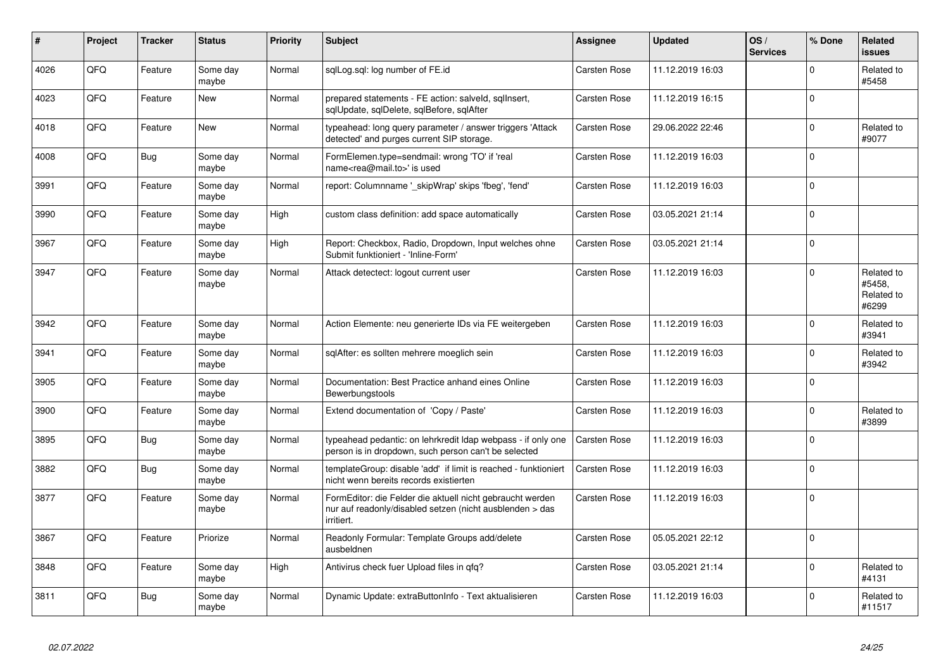| $\vert$ # | Project | <b>Tracker</b> | <b>Status</b>     | <b>Priority</b> | <b>Subject</b>                                                                                                                      | Assignee            | <b>Updated</b>   | OS/<br><b>Services</b> | % Done      | Related<br>issues                           |
|-----------|---------|----------------|-------------------|-----------------|-------------------------------------------------------------------------------------------------------------------------------------|---------------------|------------------|------------------------|-------------|---------------------------------------------|
| 4026      | QFQ     | Feature        | Some day<br>maybe | Normal          | sqlLog.sql: log number of FE.id                                                                                                     | Carsten Rose        | 11.12.2019 16:03 |                        | $\Omega$    | Related to<br>#5458                         |
| 4023      | QFQ     | Feature        | <b>New</b>        | Normal          | prepared statements - FE action: salveld, sglInsert,<br>sglUpdate, sglDelete, sglBefore, sglAfter                                   | Carsten Rose        | 11.12.2019 16:15 |                        | $\Omega$    |                                             |
| 4018      | QFQ     | Feature        | <b>New</b>        | Normal          | typeahead: long query parameter / answer triggers 'Attack<br>detected' and purges current SIP storage.                              | Carsten Rose        | 29.06.2022 22:46 |                        | $\Omega$    | Related to<br>#9077                         |
| 4008      | QFQ     | <b>Bug</b>     | Some day<br>maybe | Normal          | FormElemen.type=sendmail: wrong 'TO' if 'real<br>name <rea@mail.to>' is used</rea@mail.to>                                          | Carsten Rose        | 11.12.2019 16:03 |                        | $\Omega$    |                                             |
| 3991      | QFQ     | Feature        | Some day<br>maybe | Normal          | report: Columnname '_skipWrap' skips 'fbeg', 'fend'                                                                                 | Carsten Rose        | 11.12.2019 16:03 |                        | $\Omega$    |                                             |
| 3990      | QFQ     | Feature        | Some day<br>maybe | High            | custom class definition: add space automatically                                                                                    | <b>Carsten Rose</b> | 03.05.2021 21:14 |                        | $\Omega$    |                                             |
| 3967      | QFQ     | Feature        | Some day<br>maybe | High            | Report: Checkbox, Radio, Dropdown, Input welches ohne<br>Submit funktioniert - 'Inline-Form'                                        | <b>Carsten Rose</b> | 03.05.2021 21:14 |                        | $\Omega$    |                                             |
| 3947      | QFQ     | Feature        | Some day<br>maybe | Normal          | Attack detectect: logout current user                                                                                               | Carsten Rose        | 11.12.2019 16:03 |                        | $\Omega$    | Related to<br>#5458.<br>Related to<br>#6299 |
| 3942      | QFQ     | Feature        | Some day<br>maybe | Normal          | Action Elemente: neu generierte IDs via FE weitergeben                                                                              | Carsten Rose        | 11.12.2019 16:03 |                        | $\Omega$    | Related to<br>#3941                         |
| 3941      | QFQ     | Feature        | Some day<br>maybe | Normal          | sqlAfter: es sollten mehrere moeglich sein                                                                                          | Carsten Rose        | 11.12.2019 16:03 |                        | $\Omega$    | Related to<br>#3942                         |
| 3905      | QFQ     | Feature        | Some day<br>maybe | Normal          | Documentation: Best Practice anhand eines Online<br>Bewerbungstools                                                                 | Carsten Rose        | 11.12.2019 16:03 |                        | $\Omega$    |                                             |
| 3900      | QFQ     | Feature        | Some day<br>maybe | Normal          | Extend documentation of 'Copy / Paste'                                                                                              | Carsten Rose        | 11.12.2019 16:03 |                        | $\Omega$    | Related to<br>#3899                         |
| 3895      | QFQ     | Bug            | Some day<br>maybe | Normal          | typeahead pedantic: on lehrkredit Idap webpass - if only one<br>person is in dropdown, such person can't be selected                | Carsten Rose        | 11.12.2019 16:03 |                        | $\Omega$    |                                             |
| 3882      | QFQ     | <b>Bug</b>     | Some day<br>maybe | Normal          | templateGroup: disable 'add' if limit is reached - funktioniert<br>nicht wenn bereits records existierten                           | <b>Carsten Rose</b> | 11.12.2019 16:03 |                        | $\Omega$    |                                             |
| 3877      | QFQ     | Feature        | Some day<br>maybe | Normal          | FormEditor: die Felder die aktuell nicht gebraucht werden<br>nur auf readonly/disabled setzen (nicht ausblenden > das<br>irritiert. | <b>Carsten Rose</b> | 11.12.2019 16:03 |                        | $\mathbf 0$ |                                             |
| 3867      | QFQ     | Feature        | Priorize          | Normal          | Readonly Formular: Template Groups add/delete<br>ausbeldnen                                                                         | Carsten Rose        | 05.05.2021 22:12 |                        | l n         |                                             |
| 3848      | QFQ     | Feature        | Some day<br>maybe | High            | Antivirus check fuer Upload files in qfq?                                                                                           | Carsten Rose        | 03.05.2021 21:14 |                        | $\Omega$    | Related to<br>#4131                         |
| 3811      | QFQ     | <b>Bug</b>     | Some day<br>maybe | Normal          | Dynamic Update: extraButtonInfo - Text aktualisieren                                                                                | <b>Carsten Rose</b> | 11.12.2019 16:03 |                        | $\Omega$    | Related to<br>#11517                        |